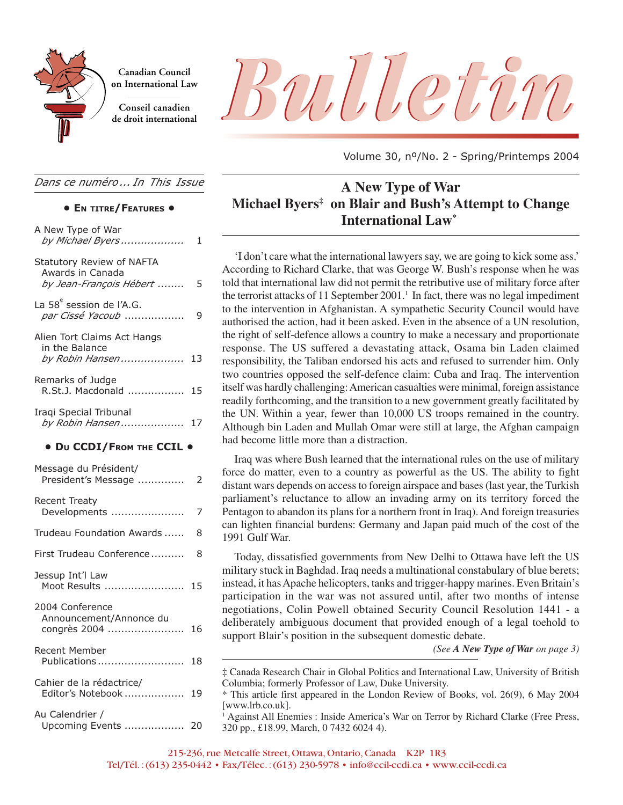

**Canadian Council on International Law**

**Conseil canadien**

*Dans ce numéro ... In This Issue*

#### **• EN TITRE/FEATURES •**

| A New Type of War<br>by Michael Byers                                    | 1  |
|--------------------------------------------------------------------------|----|
| Statutory Review of NAFTA<br>Awards in Canada<br>by Jean-François Hébert | 5  |
| La 58 <sup>e</sup> session de l'A.G.<br>par Cissé Yacoub                 | 9  |
| Alien Tort Claims Act Hangs<br>in the Balance<br>by Robin Hansen 13      |    |
| Remarks of Judge<br>R.St.J. Macdonald                                    | 15 |
| Iraqi Special Tribunal<br>by Robin Hansen                                | 17 |
| • DU CCDI/FROM THE CCIL .                                                |    |
| Message du Président/<br>President's Message                             | 2  |
| <b>Recent Treaty</b><br>Developments                                     | 7  |
| Trudeau Foundation Awards                                                | 8  |
| First Trudeau Conference                                                 | 8  |
| Jessup Int'l Law<br>Moot Results  15                                     |    |
| 2004 Conference<br>Announcement/Annonce du<br>congrès 2004               | 16 |
| Recent Member<br>Publications                                            | 18 |
| Cahier de la rédactrice/<br>Editor's Notebook                            | 19 |
| Au Calendrier /<br>Upcoming Events                                       | 20 |



Volume 30, nº/No. 2 - Spring/Printemps 2004

# **A New Type of War Michael Byers‡ on Blair and Bush's Attempt to Change International Law\***

'I don't care what the international lawyers say, we are going to kick some ass.' According to Richard Clarke, that was George W. Bush's response when he was told that international law did not permit the retributive use of military force after the terrorist attacks of 11 September 2001.<sup>1</sup> In fact, there was no legal impediment to the intervention in Afghanistan. A sympathetic Security Council would have authorised the action, had it been asked. Even in the absence of a UN resolution, the right of self-defence allows a country to make a necessary and proportionate response. The US suffered a devastating attack, Osama bin Laden claimed responsibility, the Taliban endorsed his acts and refused to surrender him. Only two countries opposed the self-defence claim: Cuba and Iraq. The intervention itself was hardly challenging: American casualties were minimal, foreign assistance readily forthcoming, and the transition to a new government greatly facilitated by the UN. Within a year, fewer than 10,000 US troops remained in the country. Although bin Laden and Mullah Omar were still at large, the Afghan campaign had become little more than a distraction.

Iraq was where Bush learned that the international rules on the use of military force do matter, even to a country as powerful as the US. The ability to fight distant wars depends on access to foreign airspace and bases (last year, the Turkish parliament's reluctance to allow an invading army on its territory forced the Pentagon to abandon its plans for a northern front in Iraq). And foreign treasuries can lighten financial burdens: Germany and Japan paid much of the cost of the 1991 Gulf War.

Today, dissatisfied governments from New Delhi to Ottawa have left the US military stuck in Baghdad. Iraq needs a multinational constabulary of blue berets; instead, it has Apache helicopters, tanks and trigger-happy marines. Even Britain's participation in the war was not assured until, after two months of intense negotiations, Colin Powell obtained Security Council Resolution 1441 - a deliberately ambiguous document that provided enough of a legal toehold to support Blair's position in the subsequent domestic debate.

*(See A New Type of War on page 3)*

<sup>‡</sup> Canada Research Chair in Global Politics and International Law, University of British Columbia; formerly Professor of Law, Duke University.

<sup>\*</sup> This article first appeared in the London Review of Books, vol. 26(9), 6 May 2004 [www.lrb.co.uk].

<sup>1</sup> Against All Enemies : Inside America's War on Terror by Richard Clarke (Free Press, 320 pp., £18.99, March, 0 7432 6024 4).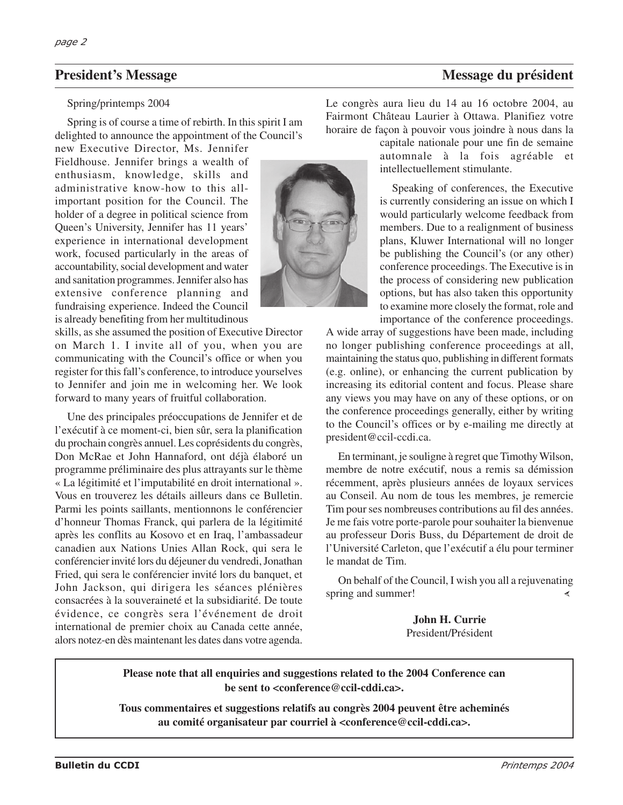#### Spring/printemps 2004

Spring is of course a time of rebirth. In this spirit I am delighted to announce the appointment of the Council's

new Executive Director, Ms. Jennifer Fieldhouse. Jennifer brings a wealth of enthusiasm, knowledge, skills and administrative know-how to this allimportant position for the Council. The holder of a degree in political science from Queen's University, Jennifer has 11 years' experience in international development work, focused particularly in the areas of accountability, social development and water and sanitation programmes. Jennifer also has extensive conference planning and fundraising experience. Indeed the Council is already benefiting from her multitudinous

skills, as she assumed the position of Executive Director on March 1. I invite all of you, when you are communicating with the Council's office or when you register for this fall's conference, to introduce yourselves to Jennifer and join me in welcoming her. We look forward to many years of fruitful collaboration.

Une des principales préoccupations de Jennifer et de l'exécutif à ce moment-ci, bien sûr, sera la planification du prochain congrès annuel. Les coprésidents du congrès, Don McRae et John Hannaford, ont déjà élaboré un programme préliminaire des plus attrayants sur le thème « La légitimité et l'imputabilité en droit international ». Vous en trouverez les détails ailleurs dans ce Bulletin. Parmi les points saillants, mentionnons le conférencier d'honneur Thomas Franck, qui parlera de la légitimité après les conflits au Kosovo et en Iraq, l'ambassadeur canadien aux Nations Unies Allan Rock, qui sera le conférencier invité lors du déjeuner du vendredi, Jonathan Fried, qui sera le conférencier invité lors du banquet, et John Jackson, qui dirigera les séances plénières consacrées à la souveraineté et la subsidiarité. De toute évidence, ce congrès sera l'événement de droit international de premier choix au Canada cette année, alors notez-en dès maintenant les dates dans votre agenda.

Le congrès aura lieu du 14 au 16 octobre 2004, au Fairmont Château Laurier à Ottawa. Planifiez votre horaire de façon à pouvoir vous joindre à nous dans la

capitale nationale pour une fin de semaine automnale à la fois agréable et intellectuellement stimulante.

Speaking of conferences, the Executive is currently considering an issue on which I would particularly welcome feedback from members. Due to a realignment of business plans, Kluwer International will no longer be publishing the Council's (or any other) conference proceedings. The Executive is in the process of considering new publication options, but has also taken this opportunity to examine more closely the format, role and importance of the conference proceedings.

A wide array of suggestions have been made, including no longer publishing conference proceedings at all, maintaining the status quo, publishing in different formats (e.g. online), or enhancing the current publication by increasing its editorial content and focus. Please share any views you may have on any of these options, or on the conference proceedings generally, either by writing to the Council's offices or by e-mailing me directly at president@ccil-ccdi.ca.

En terminant, je souligne à regret que Timothy Wilson, membre de notre exécutif, nous a remis sa démission récemment, après plusieurs années de loyaux services au Conseil. Au nom de tous les membres, je remercie Tim pour ses nombreuses contributions au fil des années. Je me fais votre porte-parole pour souhaiter la bienvenue au professeur Doris Buss, du Département de droit de l'Université Carleton, que l'exécutif a élu pour terminer le mandat de Tim.

On behalf of the Council, I wish you all a rejuvenating spring and summer! ∢

> **John H. Currie** President/Président

**Please note that all enquiries and suggestions related to the 2004 Conference can be sent to <conference@ccil-cddi.ca>.**

**Tous commentaires et suggestions relatifs au congrès 2004 peuvent être acheminés au comité organisateur par courriel à <conference@ccil-cddi.ca>.**



## **President's Message du président du président du président du président du président du président du président**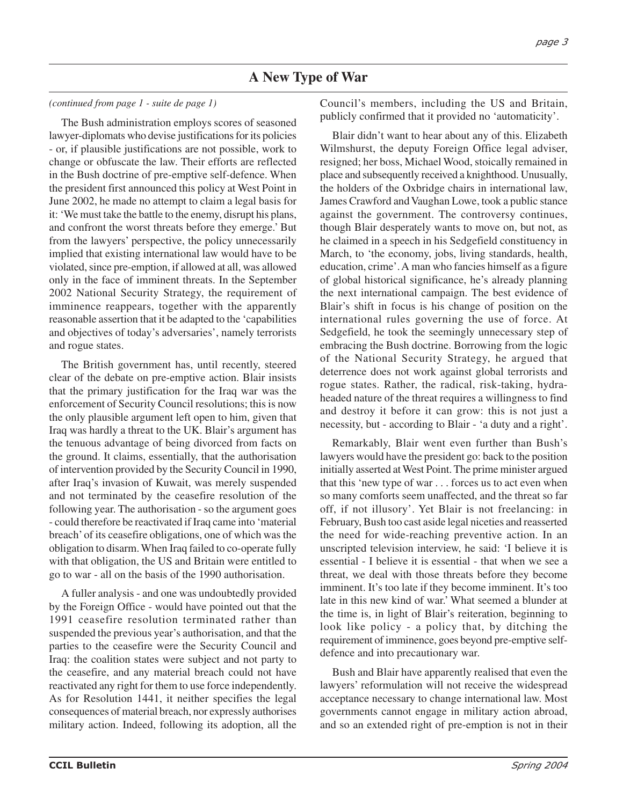#### *(continued from page 1 - suite de page 1)*

The Bush administration employs scores of seasoned lawyer-diplomats who devise justifications for its policies - or, if plausible justifications are not possible, work to change or obfuscate the law. Their efforts are reflected in the Bush doctrine of pre-emptive self-defence. When the president first announced this policy at West Point in June 2002, he made no attempt to claim a legal basis for it: 'We must take the battle to the enemy, disrupt his plans, and confront the worst threats before they emerge.' But from the lawyers' perspective, the policy unnecessarily implied that existing international law would have to be violated, since pre-emption, if allowed at all, was allowed only in the face of imminent threats. In the September 2002 National Security Strategy, the requirement of imminence reappears, together with the apparently reasonable assertion that it be adapted to the 'capabilities and objectives of today's adversaries', namely terrorists and rogue states.

The British government has, until recently, steered clear of the debate on pre-emptive action. Blair insists that the primary justification for the Iraq war was the enforcement of Security Council resolutions; this is now the only plausible argument left open to him, given that Iraq was hardly a threat to the UK. Blair's argument has the tenuous advantage of being divorced from facts on the ground. It claims, essentially, that the authorisation of intervention provided by the Security Council in 1990, after Iraq's invasion of Kuwait, was merely suspended and not terminated by the ceasefire resolution of the following year. The authorisation - so the argument goes - could therefore be reactivated if Iraq came into 'material breach' of its ceasefire obligations, one of which was the obligation to disarm. When Iraq failed to co-operate fully with that obligation, the US and Britain were entitled to go to war - all on the basis of the 1990 authorisation.

A fuller analysis - and one was undoubtedly provided by the Foreign Office - would have pointed out that the 1991 ceasefire resolution terminated rather than suspended the previous year's authorisation, and that the parties to the ceasefire were the Security Council and Iraq: the coalition states were subject and not party to the ceasefire, and any material breach could not have reactivated any right for them to use force independently. As for Resolution 1441, it neither specifies the legal consequences of material breach, nor expressly authorises military action. Indeed, following its adoption, all the

Council's members, including the US and Britain, publicly confirmed that it provided no 'automaticity'.

Blair didn't want to hear about any of this. Elizabeth Wilmshurst, the deputy Foreign Office legal adviser, resigned; her boss, Michael Wood, stoically remained in place and subsequently received a knighthood. Unusually, the holders of the Oxbridge chairs in international law, James Crawford and Vaughan Lowe, took a public stance against the government. The controversy continues, though Blair desperately wants to move on, but not, as he claimed in a speech in his Sedgefield constituency in March, to 'the economy, jobs, living standards, health, education, crime'. A man who fancies himself as a figure of global historical significance, he's already planning the next international campaign. The best evidence of Blair's shift in focus is his change of position on the international rules governing the use of force. At Sedgefield, he took the seemingly unnecessary step of embracing the Bush doctrine. Borrowing from the logic of the National Security Strategy, he argued that deterrence does not work against global terrorists and rogue states. Rather, the radical, risk-taking, hydraheaded nature of the threat requires a willingness to find and destroy it before it can grow: this is not just a necessity, but - according to Blair - 'a duty and a right'.

Remarkably, Blair went even further than Bush's lawyers would have the president go: back to the position initially asserted at West Point. The prime minister argued that this 'new type of war . . . forces us to act even when so many comforts seem unaffected, and the threat so far off, if not illusory'. Yet Blair is not freelancing: in February, Bush too cast aside legal niceties and reasserted the need for wide-reaching preventive action. In an unscripted television interview, he said: 'I believe it is essential - I believe it is essential - that when we see a threat, we deal with those threats before they become imminent. It's too late if they become imminent. It's too late in this new kind of war.' What seemed a blunder at the time is, in light of Blair's reiteration, beginning to look like policy - a policy that, by ditching the requirement of imminence, goes beyond pre-emptive selfdefence and into precautionary war.

Bush and Blair have apparently realised that even the lawyers' reformulation will not receive the widespread acceptance necessary to change international law. Most governments cannot engage in military action abroad, and so an extended right of pre-emption is not in their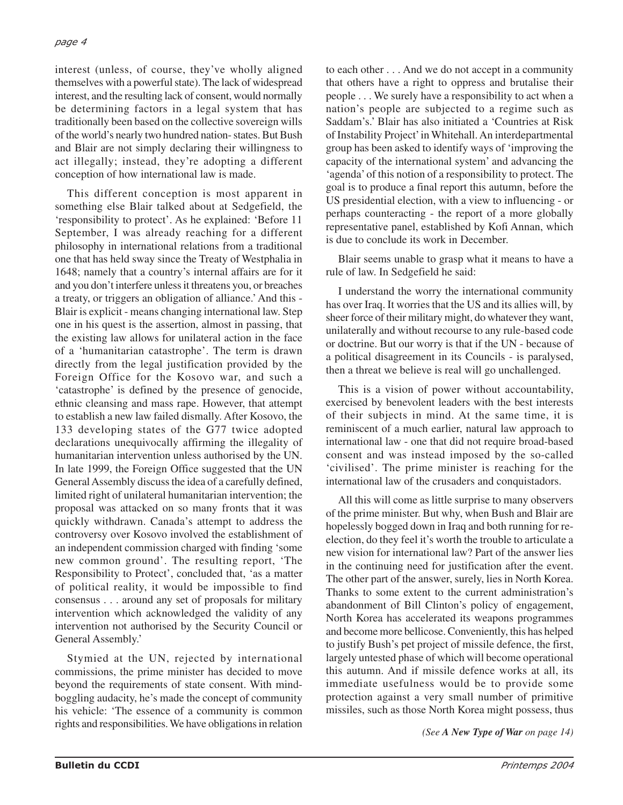interest (unless, of course, they've wholly aligned themselves with a powerful state). The lack of widespread interest, and the resulting lack of consent, would normally be determining factors in a legal system that has traditionally been based on the collective sovereign wills of the world's nearly two hundred nation- states. But Bush and Blair are not simply declaring their willingness to act illegally; instead, they're adopting a different conception of how international law is made.

This different conception is most apparent in something else Blair talked about at Sedgefield, the 'responsibility to protect'. As he explained: 'Before 11 September, I was already reaching for a different philosophy in international relations from a traditional one that has held sway since the Treaty of Westphalia in 1648; namely that a country's internal affairs are for it and you don't interfere unless it threatens you, or breaches a treaty, or triggers an obligation of alliance.' And this - Blair is explicit - means changing international law. Step one in his quest is the assertion, almost in passing, that the existing law allows for unilateral action in the face of a 'humanitarian catastrophe'. The term is drawn directly from the legal justification provided by the Foreign Office for the Kosovo war, and such a 'catastrophe' is defined by the presence of genocide, ethnic cleansing and mass rape. However, that attempt to establish a new law failed dismally. After Kosovo, the 133 developing states of the G77 twice adopted declarations unequivocally affirming the illegality of humanitarian intervention unless authorised by the UN. In late 1999, the Foreign Office suggested that the UN General Assembly discuss the idea of a carefully defined, limited right of unilateral humanitarian intervention; the proposal was attacked on so many fronts that it was quickly withdrawn. Canada's attempt to address the controversy over Kosovo involved the establishment of an independent commission charged with finding 'some new common ground'. The resulting report, 'The Responsibility to Protect', concluded that, 'as a matter of political reality, it would be impossible to find consensus . . . around any set of proposals for military intervention which acknowledged the validity of any intervention not authorised by the Security Council or General Assembly.'

Stymied at the UN, rejected by international commissions, the prime minister has decided to move beyond the requirements of state consent. With mindboggling audacity, he's made the concept of community his vehicle: 'The essence of a community is common rights and responsibilities. We have obligations in relation

to each other . . . And we do not accept in a community that others have a right to oppress and brutalise their people . . . We surely have a responsibility to act when a nation's people are subjected to a regime such as Saddam's.' Blair has also initiated a 'Countries at Risk of Instability Project' in Whitehall. An interdepartmental group has been asked to identify ways of 'improving the capacity of the international system' and advancing the 'agenda' of this notion of a responsibility to protect. The goal is to produce a final report this autumn, before the US presidential election, with a view to influencing - or perhaps counteracting - the report of a more globally representative panel, established by Kofi Annan, which is due to conclude its work in December.

Blair seems unable to grasp what it means to have a rule of law. In Sedgefield he said:

I understand the worry the international community has over Iraq. It worries that the US and its allies will, by sheer force of their military might, do whatever they want, unilaterally and without recourse to any rule-based code or doctrine. But our worry is that if the UN - because of a political disagreement in its Councils - is paralysed, then a threat we believe is real will go unchallenged.

This is a vision of power without accountability, exercised by benevolent leaders with the best interests of their subjects in mind. At the same time, it is reminiscent of a much earlier, natural law approach to international law - one that did not require broad-based consent and was instead imposed by the so-called 'civilised'. The prime minister is reaching for the international law of the crusaders and conquistadors.

All this will come as little surprise to many observers of the prime minister. But why, when Bush and Blair are hopelessly bogged down in Iraq and both running for reelection, do they feel it's worth the trouble to articulate a new vision for international law? Part of the answer lies in the continuing need for justification after the event. The other part of the answer, surely, lies in North Korea. Thanks to some extent to the current administration's abandonment of Bill Clinton's policy of engagement, North Korea has accelerated its weapons programmes and become more bellicose. Conveniently, this has helped to justify Bush's pet project of missile defence, the first, largely untested phase of which will become operational this autumn. And if missile defence works at all, its immediate usefulness would be to provide some protection against a very small number of primitive missiles, such as those North Korea might possess, thus

*(See A New Type of War on page 14)*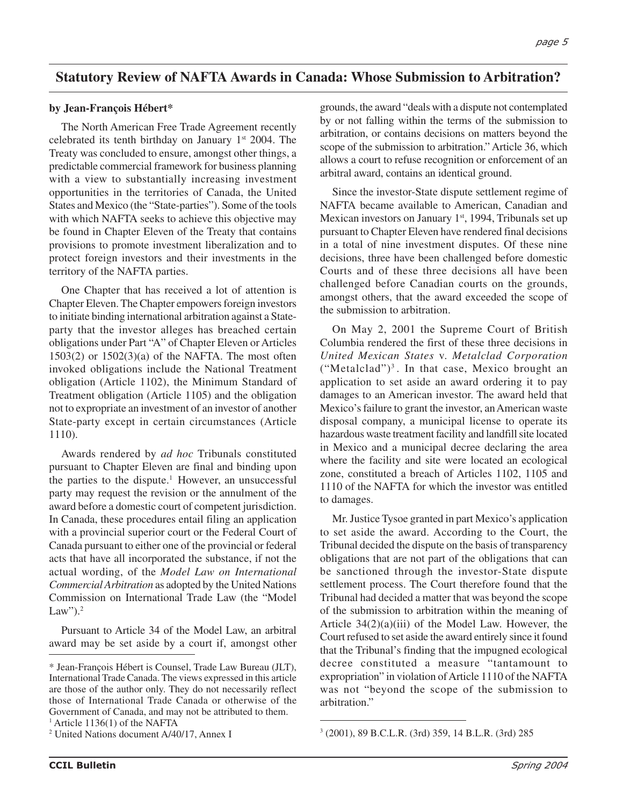## **Statutory Review of NAFTA Awards in Canada: Whose Submission to Arbitration?**

#### **by Jean-François Hébert\***

The North American Free Trade Agreement recently celebrated its tenth birthday on January  $1<sup>st</sup>$  2004. The Treaty was concluded to ensure, amongst other things, a predictable commercial framework for business planning with a view to substantially increasing investment opportunities in the territories of Canada, the United States and Mexico (the "State-parties"). Some of the tools with which NAFTA seeks to achieve this objective may be found in Chapter Eleven of the Treaty that contains provisions to promote investment liberalization and to protect foreign investors and their investments in the territory of the NAFTA parties.

One Chapter that has received a lot of attention is Chapter Eleven. The Chapter empowers foreign investors to initiate binding international arbitration against a Stateparty that the investor alleges has breached certain obligations under Part "A" of Chapter Eleven or Articles  $1503(2)$  or  $1502(3)(a)$  of the NAFTA. The most often invoked obligations include the National Treatment obligation (Article 1102), the Minimum Standard of Treatment obligation (Article 1105) and the obligation not to expropriate an investment of an investor of another State-party except in certain circumstances (Article 1110).

Awards rendered by *ad hoc* Tribunals constituted pursuant to Chapter Eleven are final and binding upon the parties to the dispute.<sup>1</sup> However, an unsuccessful party may request the revision or the annulment of the award before a domestic court of competent jurisdiction. In Canada, these procedures entail filing an application with a provincial superior court or the Federal Court of Canada pursuant to either one of the provincial or federal acts that have all incorporated the substance, if not the actual wording, of the *Model Law on International Commercial Arbitration* as adopted by the United Nations Commission on International Trade Law (the "Model Law"). $2$ 

Pursuant to Article 34 of the Model Law, an arbitral award may be set aside by a court if, amongst other grounds, the award "deals with a dispute not contemplated by or not falling within the terms of the submission to arbitration, or contains decisions on matters beyond the scope of the submission to arbitration." Article 36, which allows a court to refuse recognition or enforcement of an arbitral award, contains an identical ground.

Since the investor-State dispute settlement regime of NAFTA became available to American, Canadian and Mexican investors on January 1<sup>st</sup>, 1994, Tribunals set up pursuant to Chapter Eleven have rendered final decisions in a total of nine investment disputes. Of these nine decisions, three have been challenged before domestic Courts and of these three decisions all have been challenged before Canadian courts on the grounds, amongst others, that the award exceeded the scope of the submission to arbitration.

On May 2, 2001 the Supreme Court of British Columbia rendered the first of these three decisions in *United Mexican States* v. *Metalclad Corporation*  $("Metalclad")<sup>3</sup>$ . In that case, Mexico brought an application to set aside an award ordering it to pay damages to an American investor. The award held that Mexico's failure to grant the investor, an American waste disposal company, a municipal license to operate its hazardous waste treatment facility and landfill site located in Mexico and a municipal decree declaring the area where the facility and site were located an ecological zone, constituted a breach of Articles 1102, 1105 and 1110 of the NAFTA for which the investor was entitled to damages.

Mr. Justice Tysoe granted in part Mexico's application to set aside the award. According to the Court, the Tribunal decided the dispute on the basis of transparency obligations that are not part of the obligations that can be sanctioned through the investor-State dispute settlement process. The Court therefore found that the Tribunal had decided a matter that was beyond the scope of the submission to arbitration within the meaning of Article  $34(2)(a)(iii)$  of the Model Law. However, the Court refused to set aside the award entirely since it found that the Tribunal's finding that the impugned ecological decree constituted a measure "tantamount to expropriation" in violation of Article 1110 of the NAFTA was not "beyond the scope of the submission to arbitration."

<sup>\*</sup> Jean-François Hébert is Counsel, Trade Law Bureau (JLT), International Trade Canada. The views expressed in this article are those of the author only. They do not necessarily reflect those of International Trade Canada or otherwise of the Government of Canada, and may not be attributed to them.

 $<sup>1</sup>$  Article 1136(1) of the NAFTA</sup>

<sup>&</sup>lt;sup>2</sup> United Nations document  $A/40/17$ , Annex I

 <sup>(2001), 89</sup> B.C.L.R. (3rd) 359, 14 B.L.R. (3rd) 285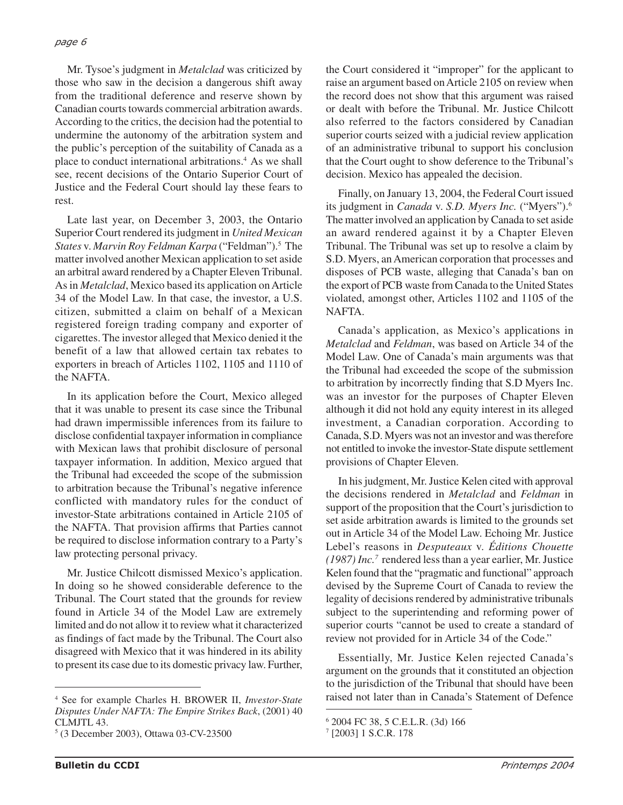Mr. Tysoe's judgment in *Metalclad* was criticized by those who saw in the decision a dangerous shift away from the traditional deference and reserve shown by Canadian courts towards commercial arbitration awards. According to the critics, the decision had the potential to undermine the autonomy of the arbitration system and the public's perception of the suitability of Canada as a place to conduct international arbitrations.4 As we shall see, recent decisions of the Ontario Superior Court of Justice and the Federal Court should lay these fears to rest.

Late last year, on December 3, 2003, the Ontario Superior Court rendered its judgment in *United Mexican States* v. *Marvin Roy Feldman Karpa* ("Feldman").5 The matter involved another Mexican application to set aside an arbitral award rendered by a Chapter Eleven Tribunal. As in *Metalclad*, Mexico based its application on Article 34 of the Model Law. In that case, the investor, a U.S. citizen, submitted a claim on behalf of a Mexican registered foreign trading company and exporter of cigarettes. The investor alleged that Mexico denied it the benefit of a law that allowed certain tax rebates to exporters in breach of Articles 1102, 1105 and 1110 of the NAFTA.

In its application before the Court, Mexico alleged that it was unable to present its case since the Tribunal had drawn impermissible inferences from its failure to disclose confidential taxpayer information in compliance with Mexican laws that prohibit disclosure of personal taxpayer information. In addition, Mexico argued that the Tribunal had exceeded the scope of the submission to arbitration because the Tribunal's negative inference conflicted with mandatory rules for the conduct of investor-State arbitrations contained in Article 2105 of the NAFTA. That provision affirms that Parties cannot be required to disclose information contrary to a Party's law protecting personal privacy.

Mr. Justice Chilcott dismissed Mexico's application. In doing so he showed considerable deference to the Tribunal. The Court stated that the grounds for review found in Article 34 of the Model Law are extremely limited and do not allow it to review what it characterized as findings of fact made by the Tribunal. The Court also disagreed with Mexico that it was hindered in its ability to present its case due to its domestic privacy law. Further,

the Court considered it "improper" for the applicant to raise an argument based on Article 2105 on review when the record does not show that this argument was raised or dealt with before the Tribunal. Mr. Justice Chilcott also referred to the factors considered by Canadian superior courts seized with a judicial review application of an administrative tribunal to support his conclusion that the Court ought to show deference to the Tribunal's decision. Mexico has appealed the decision.

Finally, on January 13, 2004, the Federal Court issued its judgment in *Canada* v. *S.D. Myers Inc.* ("Myers").6 The matter involved an application by Canada to set aside an award rendered against it by a Chapter Eleven Tribunal. The Tribunal was set up to resolve a claim by S.D. Myers, an American corporation that processes and disposes of PCB waste, alleging that Canada's ban on the export of PCB waste from Canada to the United States violated, amongst other, Articles 1102 and 1105 of the NAFTA.

Canada's application, as Mexico's applications in *Metalclad* and *Feldman*, was based on Article 34 of the Model Law. One of Canada's main arguments was that the Tribunal had exceeded the scope of the submission to arbitration by incorrectly finding that S.D Myers Inc. was an investor for the purposes of Chapter Eleven although it did not hold any equity interest in its alleged investment, a Canadian corporation. According to Canada, S.D. Myers was not an investor and was therefore not entitled to invoke the investor-State dispute settlement provisions of Chapter Eleven.

In his judgment, Mr. Justice Kelen cited with approval the decisions rendered in *Metalclad* and *Feldman* in support of the proposition that the Court's jurisdiction to set aside arbitration awards is limited to the grounds set out in Article 34 of the Model Law. Echoing Mr. Justice Lebel's reasons in *Desputeaux* v. *Éditions Chouette (1987) Inc.7* rendered less than a year earlier, Mr. Justice Kelen found that the "pragmatic and functional" approach devised by the Supreme Court of Canada to review the legality of decisions rendered by administrative tribunals subject to the superintending and reforming power of superior courts "cannot be used to create a standard of review not provided for in Article 34 of the Code."

Essentially, Mr. Justice Kelen rejected Canada's argument on the grounds that it constituted an objection to the jurisdiction of the Tribunal that should have been <sup>4</sup> See for example Charles H. BROWER II, *Investor-State* raised not later than in Canada's Statement of Defence

*Disputes Under NAFTA: The Empire Strikes Back*, (2001) 40 CLMJTL 43.

<sup>5</sup> (3 December 2003), Ottawa 03-CV-23500

<sup>6</sup> 2004 FC 38, 5 C.E.L.R. (3d) 166

<sup>7</sup> [2003] 1 S.C.R. 178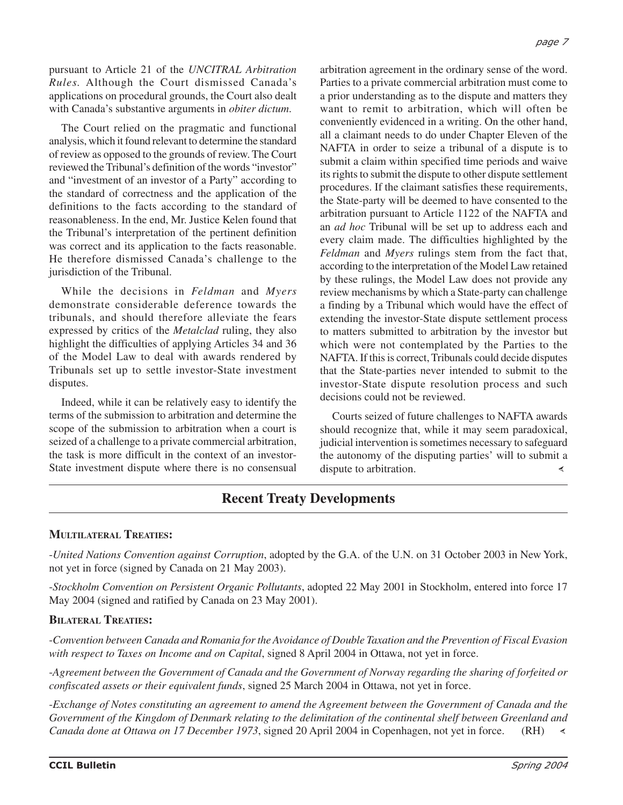pursuant to Article 21 of the *UNCITRAL Arbitration Rules.* Although the Court dismissed Canada's applications on procedural grounds, the Court also dealt with Canada's substantive arguments in *obiter dictum*.

The Court relied on the pragmatic and functional analysis, which it found relevant to determine the standard of review as opposed to the grounds of review. The Court reviewed the Tribunal's definition of the words "investor" and "investment of an investor of a Party" according to the standard of correctness and the application of the definitions to the facts according to the standard of reasonableness. In the end, Mr. Justice Kelen found that the Tribunal's interpretation of the pertinent definition was correct and its application to the facts reasonable. He therefore dismissed Canada's challenge to the jurisdiction of the Tribunal.

While the decisions in *Feldman* and *Myers* demonstrate considerable deference towards the tribunals, and should therefore alleviate the fears expressed by critics of the *Metalclad* ruling, they also highlight the difficulties of applying Articles 34 and 36 of the Model Law to deal with awards rendered by Tribunals set up to settle investor-State investment disputes.

Indeed, while it can be relatively easy to identify the terms of the submission to arbitration and determine the scope of the submission to arbitration when a court is seized of a challenge to a private commercial arbitration, the task is more difficult in the context of an investor-State investment dispute where there is no consensual arbitration agreement in the ordinary sense of the word. Parties to a private commercial arbitration must come to a prior understanding as to the dispute and matters they want to remit to arbitration, which will often be conveniently evidenced in a writing. On the other hand, all a claimant needs to do under Chapter Eleven of the NAFTA in order to seize a tribunal of a dispute is to submit a claim within specified time periods and waive its rights to submit the dispute to other dispute settlement procedures. If the claimant satisfies these requirements, the State-party will be deemed to have consented to the arbitration pursuant to Article 1122 of the NAFTA and an *ad hoc* Tribunal will be set up to address each and every claim made. The difficulties highlighted by the *Feldman* and *Myers* rulings stem from the fact that, according to the interpretation of the Model Law retained by these rulings, the Model Law does not provide any review mechanisms by which a State-party can challenge a finding by a Tribunal which would have the effect of extending the investor-State dispute settlement process to matters submitted to arbitration by the investor but which were not contemplated by the Parties to the NAFTA. If this is correct, Tribunals could decide disputes that the State-parties never intended to submit to the investor-State dispute resolution process and such decisions could not be reviewed.

Courts seized of future challenges to NAFTA awards should recognize that, while it may seem paradoxical, judicial intervention is sometimes necessary to safeguard the autonomy of the disputing parties' will to submit a dispute to arbitration. ∢

# **Recent Treaty Developments**

#### **MULTILATERAL TREATIES:**

-*United Nations Convention against Corruption*, adopted by the G.A. of the U.N. on 31 October 2003 in New York, not yet in force (signed by Canada on 21 May 2003).

-*Stockholm Convention on Persistent Organic Pollutants*, adopted 22 May 2001 in Stockholm, entered into force 17 May 2004 (signed and ratified by Canada on 23 May 2001).

#### **BILATERAL TREATIES:**

-*Convention between Canada and Romania for the Avoidance of Double Taxation and the Prevention of Fiscal Evasion with respect to Taxes on Income and on Capital*, signed 8 April 2004 in Ottawa, not yet in force.

-*Agreement between the Government of Canada and the Government of Norway regarding the sharing of forfeited or confiscated assets or their equivalent funds*, signed 25 March 2004 in Ottawa, not yet in force.

-*Exchange of Notes constituting an agreement to amend the Agreement between the Government of Canada and the Government of the Kingdom of Denmark relating to the delimitation of the continental shelf between Greenland and Canada done at Ottawa on 17 December 1973*, signed 20 April 2004 in Copenhagen, not yet in force. (RH)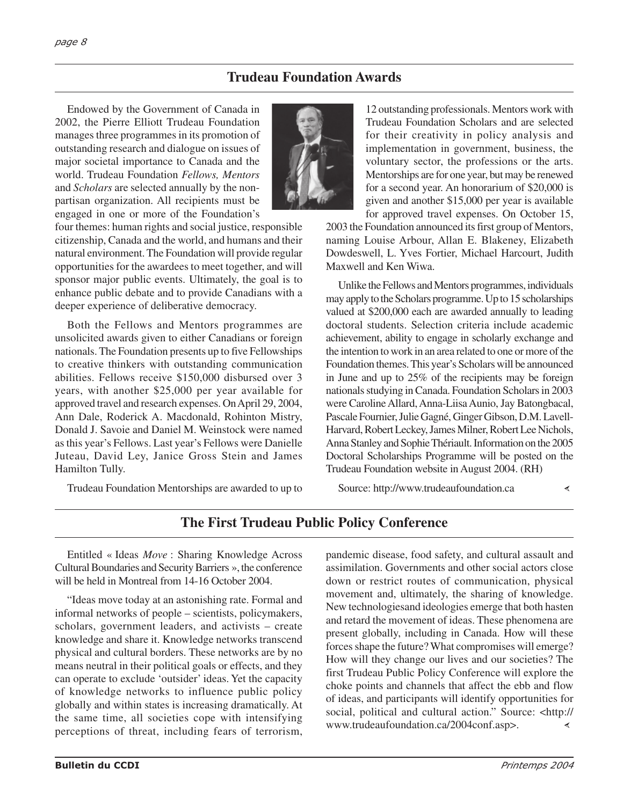## **Trudeau Foundation Awards**

Endowed by the Government of Canada in 2002, the Pierre Elliott Trudeau Foundation manages three programmes in its promotion of outstanding research and dialogue on issues of major societal importance to Canada and the world. Trudeau Foundation *Fellows, Mentors* and *Scholars* are selected annually by the nonpartisan organization. All recipients must be engaged in one or more of the Foundation's



four themes: human rights and social justice, responsible citizenship, Canada and the world, and humans and their natural environment. The Foundation will provide regular opportunities for the awardees to meet together, and will sponsor major public events. Ultimately, the goal is to enhance public debate and to provide Canadians with a deeper experience of deliberative democracy.

Both the Fellows and Mentors programmes are unsolicited awards given to either Canadians or foreign nationals. The Foundation presents up to five Fellowships to creative thinkers with outstanding communication abilities. Fellows receive \$150,000 disbursed over 3 years, with another \$25,000 per year available for approved travel and research expenses. On April 29, 2004, Ann Dale, Roderick A. Macdonald, Rohinton Mistry, Donald J. Savoie and Daniel M. Weinstock were named as this year's Fellows. Last year's Fellows were Danielle Juteau, David Ley, Janice Gross Stein and James Hamilton Tully.

Trudeau Foundation Mentorships are awarded to up to

12 outstanding professionals. Mentors work with Trudeau Foundation Scholars and are selected for their creativity in policy analysis and implementation in government, business, the voluntary sector, the professions or the arts. Mentorships are for one year, but may be renewed for a second year. An honorarium of \$20,000 is given and another \$15,000 per year is available for approved travel expenses. On October 15,

2003 the Foundation announced its first group of Mentors, naming Louise Arbour, Allan E. Blakeney, Elizabeth Dowdeswell, L. Yves Fortier, Michael Harcourt, Judith Maxwell and Ken Wiwa.

Unlike the Fellows and Mentors programmes, individuals may apply to the Scholars programme. Up to 15 scholarships valued at \$200,000 each are awarded annually to leading doctoral students. Selection criteria include academic achievement, ability to engage in scholarly exchange and the intention to work in an area related to one or more of the Foundation themes. This year's Scholars will be announced in June and up to 25% of the recipients may be foreign nationals studying in Canada. Foundation Scholars in 2003 were Caroline Allard, Anna-Liisa Aunio, Jay Batongbacal, Pascale Fournier, Julie Gagné, Ginger Gibson, D.M. Lavell-Harvard, Robert Leckey, James Milner, Robert Lee Nichols, Anna Stanley and Sophie Thériault. Information on the 2005 Doctoral Scholarships Programme will be posted on the Trudeau Foundation website in August 2004. (RH)

Source: http://www.trudeaufoundation.ca

## **The First Trudeau Public Policy Conference**

Entitled « Ideas *Move* : Sharing Knowledge Across Cultural Boundaries and Security Barriers », the conference will be held in Montreal from 14-16 October 2004.

"Ideas move today at an astonishing rate. Formal and informal networks of people – scientists, policymakers, scholars, government leaders, and activists – create knowledge and share it. Knowledge networks transcend physical and cultural borders. These networks are by no means neutral in their political goals or effects, and they can operate to exclude 'outsider' ideas. Yet the capacity of knowledge networks to influence public policy globally and within states is increasing dramatically. At the same time, all societies cope with intensifying perceptions of threat, including fears of terrorism,

pandemic disease, food safety, and cultural assault and assimilation. Governments and other social actors close down or restrict routes of communication, physical movement and, ultimately, the sharing of knowledge. New technologiesand ideologies emerge that both hasten and retard the movement of ideas. These phenomena are present globally, including in Canada. How will these forces shape the future? What compromises will emerge? How will they change our lives and our societies? The first Trudeau Public Policy Conference will explore the choke points and channels that affect the ebb and flow of ideas, and participants will identify opportunities for social, political and cultural action." Source: <http:// www.trudeaufoundation.ca/2004conf.asp>.∢

≺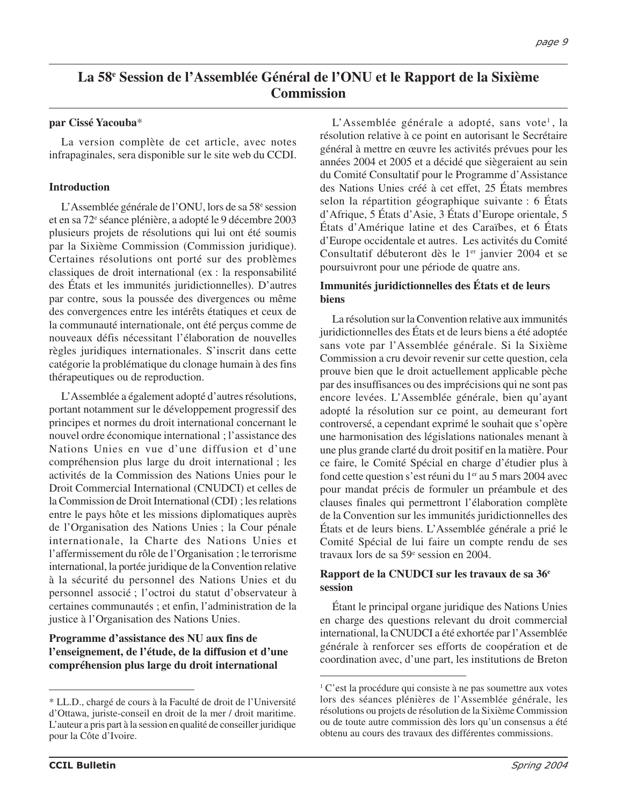# **La 58e Session de l'Assemblée Général de l'ONU et le Rapport de la Sixième Commission**

#### **par Cissé Yacouba**\*

La version complète de cet article, avec notes infrapaginales, sera disponible sur le site web du CCDI.

#### **Introduction**

L'Assemblée générale de l'ONU, lors de sa 58e session et en sa 72e séance plénière, a adopté le 9 décembre 2003 plusieurs projets de résolutions qui lui ont été soumis par la Sixième Commission (Commission juridique). Certaines résolutions ont porté sur des problèmes classiques de droit international (ex : la responsabilité des États et les immunités juridictionnelles). D'autres par contre, sous la poussée des divergences ou même des convergences entre les intérêts étatiques et ceux de la communauté internationale, ont été perçus comme de nouveaux défis nécessitant l'élaboration de nouvelles règles juridiques internationales. S'inscrit dans cette catégorie la problématique du clonage humain à des fins thérapeutiques ou de reproduction.

L'Assemblée a également adopté d'autres résolutions, portant notamment sur le développement progressif des principes et normes du droit international concernant le nouvel ordre économique international ; l'assistance des Nations Unies en vue d'une diffusion et d'une compréhension plus large du droit international ; les activités de la Commission des Nations Unies pour le Droit Commercial International (CNUDCI) et celles de la Commission de Droit International (CDI) ; les relations entre le pays hôte et les missions diplomatiques auprès de l'Organisation des Nations Unies ; la Cour pénale internationale, la Charte des Nations Unies et l'affermissement du rôle de l'Organisation ; le terrorisme international, la portée juridique de la Convention relative à la sécurité du personnel des Nations Unies et du personnel associé ; l'octroi du statut d'observateur à certaines communautés ; et enfin, l'administration de la justice à l'Organisation des Nations Unies.

#### **Programme d'assistance des NU aux fins de l'enseignement, de l'étude, de la diffusion et d'une compréhension plus large du droit international**

L'Assemblée générale a adopté, sans vote<sup>1</sup>, la résolution relative à ce point en autorisant le Secrétaire général à mettre en œuvre les activités prévues pour les années 2004 et 2005 et a décidé que siègeraient au sein du Comité Consultatif pour le Programme d'Assistance des Nations Unies créé à cet effet, 25 États membres selon la répartition géographique suivante : 6 États d'Afrique, 5 États d'Asie, 3 États d'Europe orientale, 5 États d'Amérique latine et des Caraïbes, et 6 États d'Europe occidentale et autres. Les activités du Comité Consultatif débuteront dès le 1<sup>er</sup> janvier 2004 et se poursuivront pour une période de quatre ans.

#### **Immunités juridictionnelles des États et de leurs biens**

La résolution sur la Convention relative aux immunités juridictionnelles des États et de leurs biens a été adoptée sans vote par l'Assemblée générale. Si la Sixième Commission a cru devoir revenir sur cette question, cela prouve bien que le droit actuellement applicable pèche par des insuffisances ou des imprécisions qui ne sont pas encore levées. L'Assemblée générale, bien qu'ayant adopté la résolution sur ce point, au demeurant fort controversé, a cependant exprimé le souhait que s'opère une harmonisation des législations nationales menant à une plus grande clarté du droit positif en la matière. Pour ce faire, le Comité Spécial en charge d'étudier plus à fond cette question s'est réuni du 1<sup>er</sup> au 5 mars 2004 avec pour mandat précis de formuler un préambule et des clauses finales qui permettront l'élaboration complète de la Convention sur les immunités juridictionnelles des États et de leurs biens. L'Assemblée générale a prié le Comité Spécial de lui faire un compte rendu de ses travaux lors de sa 59<sup>e</sup> session en 2004.

#### **Rapport de la CNUDCI sur les travaux de sa 36e session**

Étant le principal organe juridique des Nations Unies en charge des questions relevant du droit commercial international, la CNUDCI a été exhortée par l'Assemblée générale à renforcer ses efforts de coopération et de coordination avec, d'une part, les institutions de Breton

<sup>\*</sup> LL.D., chargé de cours à la Faculté de droit de l'Université d'Ottawa, juriste-conseil en droit de la mer / droit maritime. L'auteur a pris part à la session en qualité de conseiller juridique pour la Côte d'Ivoire.

<sup>&</sup>lt;sup>1</sup> C'est la procédure qui consiste à ne pas soumettre aux votes lors des séances plénières de l'Assemblée générale, les résolutions ou projets de résolution de la Sixième Commission ou de toute autre commission dès lors qu'un consensus a été obtenu au cours des travaux des différentes commissions.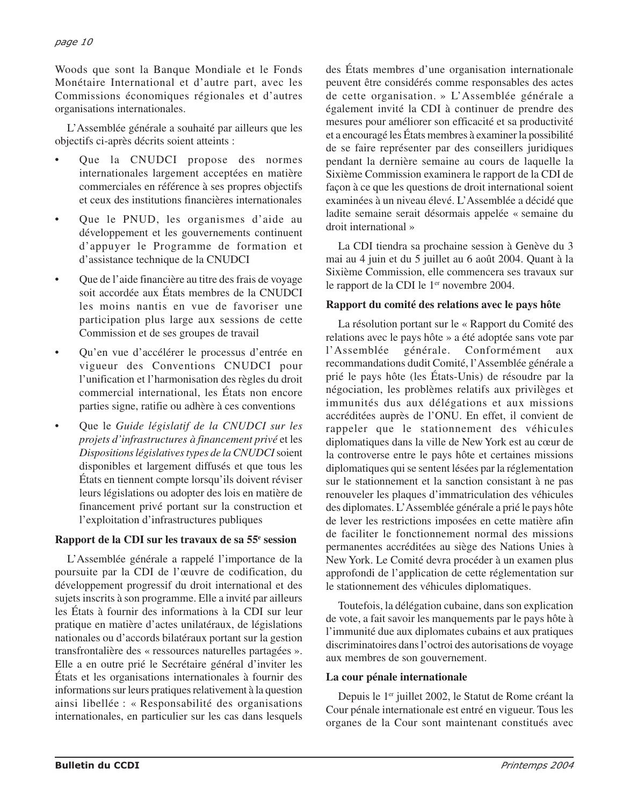Woods que sont la Banque Mondiale et le Fonds Monétaire International et d'autre part, avec les Commissions économiques régionales et d'autres organisations internationales.

L'Assemblée générale a souhaité par ailleurs que les objectifs ci-après décrits soient atteints :

- Que la CNUDCI propose des normes internationales largement acceptées en matière commerciales en référence à ses propres objectifs et ceux des institutions financières internationales
- Que le PNUD, les organismes d'aide au développement et les gouvernements continuent d'appuyer le Programme de formation et d'assistance technique de la CNUDCI
- Que de l'aide financière au titre des frais de voyage soit accordée aux États membres de la CNUDCI les moins nantis en vue de favoriser une participation plus large aux sessions de cette Commission et de ses groupes de travail
- Qu'en vue d'accélérer le processus d'entrée en vigueur des Conventions CNUDCI pour l'unification et l'harmonisation des règles du droit commercial international, les États non encore parties signe, ratifie ou adhère à ces conventions
- Que le *Guide législatif de la CNUDCI sur les projets d'infrastructures à financement privé* et les *Dispositions législatives types de la CNUDCI*soient disponibles et largement diffusés et que tous les États en tiennent compte lorsqu'ils doivent réviser leurs législations ou adopter des lois en matière de financement privé portant sur la construction et l'exploitation d'infrastructures publiques

#### **Rapport de la CDI sur les travaux de sa 55e session**

L'Assemblée générale a rappelé l'importance de la poursuite par la CDI de l'œuvre de codification, du développement progressif du droit international et des sujets inscrits à son programme. Elle a invité par ailleurs les États à fournir des informations à la CDI sur leur pratique en matière d'actes unilatéraux, de législations nationales ou d'accords bilatéraux portant sur la gestion transfrontalière des « ressources naturelles partagées ». Elle a en outre prié le Secrétaire général d'inviter les États et les organisations internationales à fournir des informations sur leurs pratiques relativement à la question ainsi libellée : « Responsabilité des organisations internationales, en particulier sur les cas dans lesquels des États membres d'une organisation internationale peuvent être considérés comme responsables des actes de cette organisation. » L'Assemblée générale a également invité la CDI à continuer de prendre des mesures pour améliorer son efficacité et sa productivité et a encouragé les États membres à examiner la possibilité de se faire représenter par des conseillers juridiques pendant la dernière semaine au cours de laquelle la Sixième Commission examinera le rapport de la CDI de façon à ce que les questions de droit international soient examinées à un niveau élevé. L'Assemblée a décidé que ladite semaine serait désormais appelée « semaine du droit international »

La CDI tiendra sa prochaine session à Genève du 3 mai au 4 juin et du 5 juillet au 6 août 2004. Quant à la Sixième Commission, elle commencera ses travaux sur le rapport de la CDI le 1<sup>er</sup> novembre 2004.

#### **Rapport du comité des relations avec le pays hôte**

La résolution portant sur le « Rapport du Comité des relations avec le pays hôte » a été adoptée sans vote par l'Assemblée générale. Conformément aux recommandations dudit Comité, l'Assemblée générale a prié le pays hôte (les États-Unis) de résoudre par la négociation, les problèmes relatifs aux privilèges et immunités dus aux délégations et aux missions accréditées auprès de l'ONU. En effet, il convient de rappeler que le stationnement des véhicules diplomatiques dans la ville de New York est au cœur de la controverse entre le pays hôte et certaines missions diplomatiques qui se sentent lésées par la réglementation sur le stationnement et la sanction consistant à ne pas renouveler les plaques d'immatriculation des véhicules des diplomates. L'Assemblée générale a prié le pays hôte de lever les restrictions imposées en cette matière afin de faciliter le fonctionnement normal des missions permanentes accréditées au siège des Nations Unies à New York. Le Comité devra procéder à un examen plus approfondi de l'application de cette réglementation sur le stationnement des véhicules diplomatiques.

Toutefois, la délégation cubaine, dans son explication de vote, a fait savoir les manquements par le pays hôte à l'immunité due aux diplomates cubains et aux pratiques discriminatoires dans l'octroi des autorisations de voyage aux membres de son gouvernement.

#### **La cour pénale internationale**

Depuis le 1<sup>er</sup> juillet 2002, le Statut de Rome créant la Cour pénale internationale est entré en vigueur. Tous les organes de la Cour sont maintenant constitués avec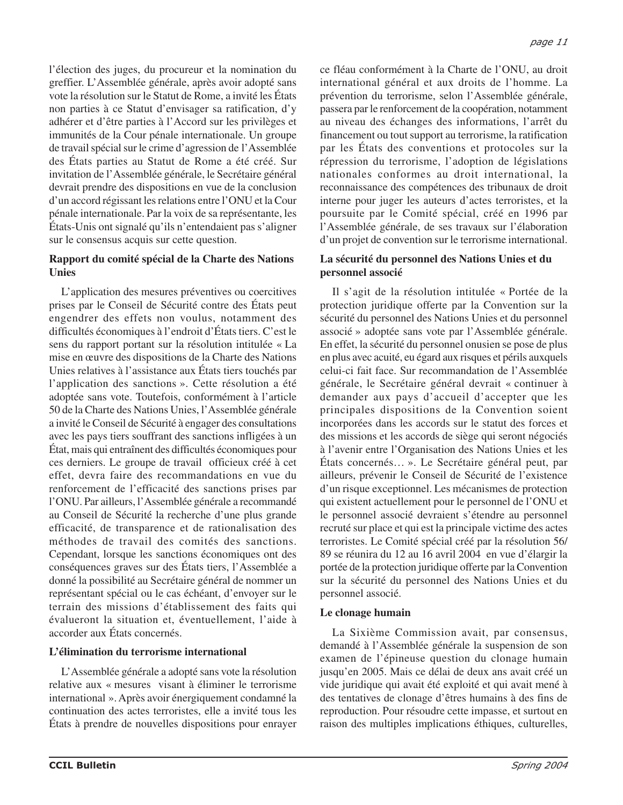l'élection des juges, du procureur et la nomination du greffier. L'Assemblée générale, après avoir adopté sans vote la résolution sur le Statut de Rome, a invité les États non parties à ce Statut d'envisager sa ratification, d'y adhérer et d'être parties à l'Accord sur les privilèges et immunités de la Cour pénale internationale. Un groupe de travail spécial sur le crime d'agression de l'Assemblée des États parties au Statut de Rome a été créé. Sur invitation de l'Assemblée générale, le Secrétaire général devrait prendre des dispositions en vue de la conclusion d'un accord régissant les relations entre l'ONU et la Cour pénale internationale. Par la voix de sa représentante, les

### sur le consensus acquis sur cette question. **Rapport du comité spécial de la Charte des Nations Unies**

États-Unis ont signalé qu'ils n'entendaient pas s'aligner

L'application des mesures préventives ou coercitives prises par le Conseil de Sécurité contre des États peut engendrer des effets non voulus, notamment des difficultés économiques à l'endroit d'États tiers. C'est le sens du rapport portant sur la résolution intitulée « La mise en œuvre des dispositions de la Charte des Nations Unies relatives à l'assistance aux États tiers touchés par l'application des sanctions ». Cette résolution a été adoptée sans vote. Toutefois, conformément à l'article 50 de la Charte des Nations Unies, l'Assemblée générale a invité le Conseil de Sécurité à engager des consultations avec les pays tiers souffrant des sanctions infligées à un État, mais qui entraînent des difficultés économiques pour ces derniers. Le groupe de travail officieux créé à cet effet, devra faire des recommandations en vue du renforcement de l'efficacité des sanctions prises par l'ONU. Par ailleurs, l'Assemblée générale a recommandé au Conseil de Sécurité la recherche d'une plus grande efficacité, de transparence et de rationalisation des méthodes de travail des comités des sanctions. Cependant, lorsque les sanctions économiques ont des conséquences graves sur des États tiers, l'Assemblée a donné la possibilité au Secrétaire général de nommer un représentant spécial ou le cas échéant, d'envoyer sur le terrain des missions d'établissement des faits qui évalueront la situation et, éventuellement, l'aide à accorder aux États concernés.

#### **L'élimination du terrorisme international**

L'Assemblée générale a adopté sans vote la résolution relative aux « mesures visant à éliminer le terrorisme international ». Après avoir énergiquement condamné la continuation des actes terroristes, elle a invité tous les États à prendre de nouvelles dispositions pour enrayer ce fléau conformément à la Charte de l'ONU, au droit international général et aux droits de l'homme. La prévention du terrorisme, selon l'Assemblée générale, passera par le renforcement de la coopération, notamment au niveau des échanges des informations, l'arrêt du financement ou tout support au terrorisme, la ratification par les États des conventions et protocoles sur la répression du terrorisme, l'adoption de législations nationales conformes au droit international, la reconnaissance des compétences des tribunaux de droit interne pour juger les auteurs d'actes terroristes, et la poursuite par le Comité spécial, créé en 1996 par l'Assemblée générale, de ses travaux sur l'élaboration d'un projet de convention sur le terrorisme international.

#### **La sécurité du personnel des Nations Unies et du personnel associé**

Il s'agit de la résolution intitulée « Portée de la protection juridique offerte par la Convention sur la sécurité du personnel des Nations Unies et du personnel associé » adoptée sans vote par l'Assemblée générale. En effet, la sécurité du personnel onusien se pose de plus en plus avec acuité, eu égard aux risques et périls auxquels celui-ci fait face. Sur recommandation de l'Assemblée générale, le Secrétaire général devrait « continuer à demander aux pays d'accueil d'accepter que les principales dispositions de la Convention soient incorporées dans les accords sur le statut des forces et des missions et les accords de siège qui seront négociés à l'avenir entre l'Organisation des Nations Unies et les États concernés… ». Le Secrétaire général peut, par ailleurs, prévenir le Conseil de Sécurité de l'existence d'un risque exceptionnel. Les mécanismes de protection qui existent actuellement pour le personnel de l'ONU et le personnel associé devraient s'étendre au personnel recruté sur place et qui est la principale victime des actes terroristes. Le Comité spécial créé par la résolution 56/ 89 se réunira du 12 au 16 avril 2004 en vue d'élargir la portée de la protection juridique offerte par la Convention sur la sécurité du personnel des Nations Unies et du personnel associé.

#### **Le clonage humain**

La Sixième Commission avait, par consensus, demandé à l'Assemblée générale la suspension de son examen de l'épineuse question du clonage humain jusqu'en 2005. Mais ce délai de deux ans avait créé un vide juridique qui avait été exploité et qui avait mené à des tentatives de clonage d'êtres humains à des fins de reproduction. Pour résoudre cette impasse, et surtout en raison des multiples implications éthiques, culturelles,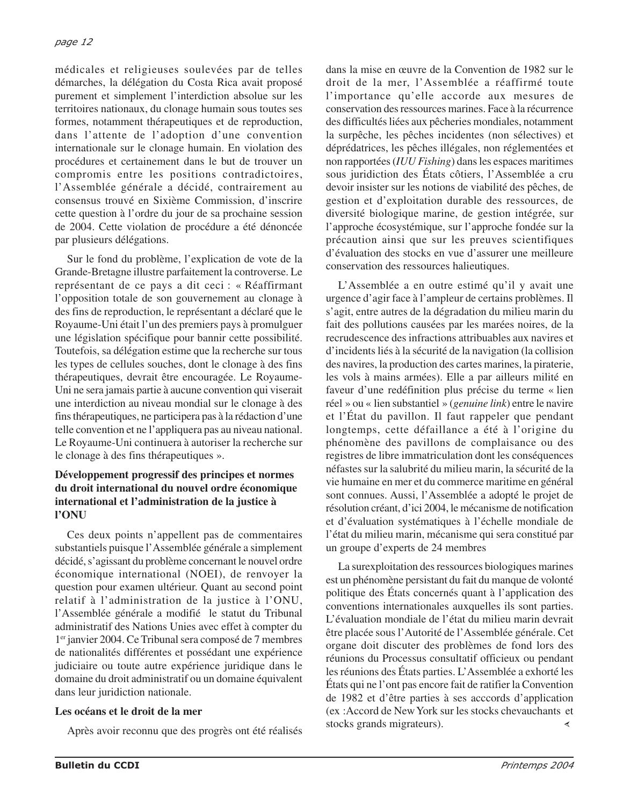médicales et religieuses soulevées par de telles démarches, la délégation du Costa Rica avait proposé purement et simplement l'interdiction absolue sur les territoires nationaux, du clonage humain sous toutes ses formes, notamment thérapeutiques et de reproduction, dans l'attente de l'adoption d'une convention internationale sur le clonage humain. En violation des procédures et certainement dans le but de trouver un compromis entre les positions contradictoires, l'Assemblée générale a décidé, contrairement au consensus trouvé en Sixième Commission, d'inscrire cette question à l'ordre du jour de sa prochaine session de 2004. Cette violation de procédure a été dénoncée par plusieurs délégations.

Sur le fond du problème, l'explication de vote de la Grande-Bretagne illustre parfaitement la controverse. Le représentant de ce pays a dit ceci : « Réaffirmant l'opposition totale de son gouvernement au clonage à des fins de reproduction, le représentant a déclaré que le Royaume-Uni était l'un des premiers pays à promulguer une législation spécifique pour bannir cette possibilité. Toutefois, sa délégation estime que la recherche sur tous les types de cellules souches, dont le clonage à des fins thérapeutiques, devrait être encouragée. Le Royaume-Uni ne sera jamais partie à aucune convention qui viserait une interdiction au niveau mondial sur le clonage à des fins thérapeutiques, ne participera pas à la rédaction d'une telle convention et ne l'appliquera pas au niveau national. Le Royaume-Uni continuera à autoriser la recherche sur le clonage à des fins thérapeutiques ».

#### **Développement progressif des principes et normes du droit international du nouvel ordre économique international et l'administration de la justice à l'ONU**

Ces deux points n'appellent pas de commentaires substantiels puisque l'Assemblée générale a simplement décidé, s'agissant du problème concernant le nouvel ordre économique international (NOEI), de renvoyer la question pour examen ultérieur. Quant au second point relatif à l'administration de la justice à l'ONU, l'Assemblée générale a modifié le statut du Tribunal administratif des Nations Unies avec effet à compter du 1er janvier 2004. Ce Tribunal sera composé de 7 membres de nationalités différentes et possédant une expérience judiciaire ou toute autre expérience juridique dans le domaine du droit administratif ou un domaine équivalent dans leur juridiction nationale.

#### **Les océans et le droit de la mer**

Après avoir reconnu que des progrès ont été réalisés

dans la mise en œuvre de la Convention de 1982 sur le droit de la mer, l'Assemblée a réaffirmé toute l'importance qu'elle accorde aux mesures de conservation des ressources marines. Face à la récurrence des difficultés liées aux pêcheries mondiales, notamment la surpêche, les pêches incidentes (non sélectives) et déprédatrices, les pêches illégales, non réglementées et non rapportées (*IUU Fishing*) dans les espaces maritimes sous juridiction des États côtiers, l'Assemblée a cru devoir insister sur les notions de viabilité des pêches, de gestion et d'exploitation durable des ressources, de diversité biologique marine, de gestion intégrée, sur l'approche écosystémique, sur l'approche fondée sur la précaution ainsi que sur les preuves scientifiques d'évaluation des stocks en vue d'assurer une meilleure conservation des ressources halieutiques.

L'Assemblée a en outre estimé qu'il y avait une urgence d'agir face à l'ampleur de certains problèmes. Il s'agit, entre autres de la dégradation du milieu marin du fait des pollutions causées par les marées noires, de la recrudescence des infractions attribuables aux navires et d'incidents liés à la sécurité de la navigation (la collision des navires, la production des cartes marines, la piraterie, les vols à mains armées). Elle a par ailleurs milité en faveur d'une redéfinition plus précise du terme « lien réel » ou « lien substantiel » (*genuine link*) entre le navire et l'État du pavillon. Il faut rappeler que pendant longtemps, cette défaillance a été à l'origine du phénomène des pavillons de complaisance ou des registres de libre immatriculation dont les conséquences néfastes sur la salubrité du milieu marin, la sécurité de la vie humaine en mer et du commerce maritime en général sont connues. Aussi, l'Assemblée a adopté le projet de résolution créant, d'ici 2004, le mécanisme de notification et d'évaluation systématiques à l'échelle mondiale de l'état du milieu marin, mécanisme qui sera constitué par un groupe d'experts de 24 membres

La surexploitation des ressources biologiques marines est un phénomène persistant du fait du manque de volonté politique des États concernés quant à l'application des conventions internationales auxquelles ils sont parties. L'évaluation mondiale de l'état du milieu marin devrait être placée sous l'Autorité de l'Assemblée générale. Cet organe doit discuter des problèmes de fond lors des réunions du Processus consultatif officieux ou pendant les réunions des États parties. L'Assemblée a exhorté les États qui ne l'ont pas encore fait de ratifier la Convention de 1982 et d'être parties à ses acccords d'application (ex :Accord de New York sur les stocks chevauchants et stocks grands migrateurs).≺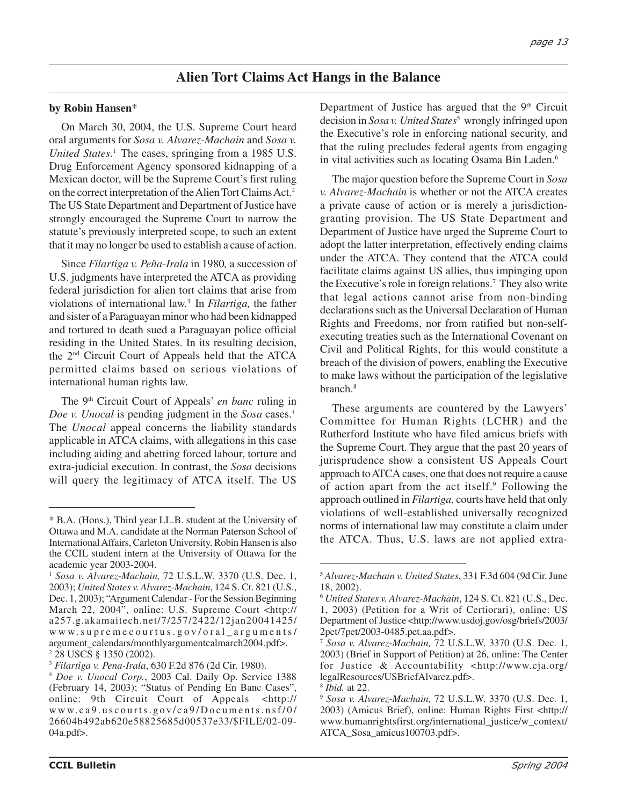## **Alien Tort Claims Act Hangs in the Balance**

#### **by Robin Hansen**\*

On March 30, 2004, the U.S. Supreme Court heard oral arguments for *Sosa v. Alvarez-Machain* and *Sosa v. United States*. <sup>1</sup> The cases, springing from a 1985 U.S. Drug Enforcement Agency sponsored kidnapping of a Mexican doctor, will be the Supreme Court's first ruling on the correct interpretation of the Alien Tort Claims Act.2 The US State Department and Department of Justice have strongly encouraged the Supreme Court to narrow the statute's previously interpreted scope, to such an extent that it may no longer be used to establish a cause of action.

Since *Filartiga v. Peña-Irala* in 1980*,* a succession of U.S. judgments have interpreted the ATCA as providing federal jurisdiction for alien tort claims that arise from violations of international law.3 In *Filartiga,* the father and sister of a Paraguayan minor who had been kidnapped and tortured to death sued a Paraguayan police official residing in the United States. In its resulting decision, the 2nd Circuit Court of Appeals held that the ATCA permitted claims based on serious violations of international human rights law.

The 9th Circuit Court of Appeals' *en banc* ruling in *Doe v. Unocal* is pending judgment in the *Sosa* cases.<sup>4</sup> The *Unocal* appeal concerns the liability standards applicable in ATCA claims, with allegations in this case including aiding and abetting forced labour, torture and extra-judicial execution. In contrast, the *Sosa* decisions will query the legitimacy of ATCA itself. The US

Department of Justice has argued that the  $9<sup>th</sup>$  Circuit decision in *Sosa v. United States*<sup>5</sup> wrongly infringed upon the Executive's role in enforcing national security, and that the ruling precludes federal agents from engaging in vital activities such as locating Osama Bin Laden.<sup>6</sup>

The major question before the Supreme Court in *Sosa v. Alvarez-Machain* is whether or not the ATCA creates a private cause of action or is merely a jurisdictiongranting provision. The US State Department and Department of Justice have urged the Supreme Court to adopt the latter interpretation, effectively ending claims under the ATCA. They contend that the ATCA could facilitate claims against US allies, thus impinging upon the Executive's role in foreign relations.<sup>7</sup> They also write that legal actions cannot arise from non-binding declarations such as the Universal Declaration of Human Rights and Freedoms, nor from ratified but non-selfexecuting treaties such as the International Covenant on Civil and Political Rights, for this would constitute a breach of the division of powers, enabling the Executive to make laws without the participation of the legislative branch.<sup>8</sup>

These arguments are countered by the Lawyers' Committee for Human Rights (LCHR) and the Rutherford Institute who have filed amicus briefs with the Supreme Court. They argue that the past 20 years of jurisprudence show a consistent US Appeals Court approach to ATCA cases, one that does not require a cause of action apart from the act itself.<sup>9</sup> Following the approach outlined in *Filartiga,* courts have held that only violations of well-established universally recognized norms of international law may constitute a claim under the ATCA. Thus, U.S. laws are not applied extra-

<sup>\*</sup> B.A. (Hons.), Third year LL.B. student at the University of Ottawa and M.A. candidate at the Norman Paterson School of International Affairs, Carleton University. Robin Hansen is also the CCIL student intern at the University of Ottawa for the academic year 2003-2004.

<sup>1</sup> *Sosa v. Alvarez-Machain,* 72 U.S.L.W. 3370 (U.S. Dec. 1, 2003); *United States v. Alvarez-Machain*, 124 S. Ct. 821 (U.S., Dec. 1, 2003); "Argument Calendar - For the Session Beginning March 22, 2004", online: U.S. Supreme Court <http:// a257.g.akamaitech.net/7/257/2422/12jan20041425/ www.supremecourtus.gov/oral\_arguments/ argument\_calendars/monthlyargumentcalmarch2004.pdf>. 2 28 USCS § 1350 (2002).

<sup>3</sup> *Filartiga v. Pena-Irala*, 630 F.2d 876 (2d Cir. 1980).

<sup>4</sup> *Doe v. Unocal Corp.*, 2003 Cal. Daily Op. Service 1388 (February 14, 2003); "Status of Pending En Banc Cases", online: 9th Circuit Court of Appeals <http:// www.ca9.uscourts.gov/ca9/Documents.nsf/0/ 26604b492ab620e58825685d00537e33/\$FILE/02-09- 04a.pdf>.

<sup>5</sup> *Alvarez-Machain v. United States*, 331 F.3d 604 (9d Cir. June 18, 2002).

<sup>6</sup> *United States v. Alvarez-Machain*, 124 S. Ct. 821 (U.S., Dec. 1, 2003) (Petition for a Writ of Certiorari), online: US Department of Justice <http://www.usdoj.gov/osg/briefs/2003/ 2pet/7pet/2003-0485.pet.aa.pdf>.

<sup>7</sup> *Sosa v. Alvarez-Machain,* 72 U.S.L.W. 3370 (U.S. Dec. 1, 2003) (Brief in Support of Petition) at 26, online: The Center for Justice & Accountability <http://www.cja.org/ legalResources/USBriefAlvarez.pdf>.

<sup>8</sup> *Ibid.* at 22.

<sup>9</sup> *Sosa v. Alvarez-Machain,* 72 U.S.L.W. 3370 (U.S. Dec. 1, 2003) (Amicus Brief), online: Human Rights First <http:// www.humanrightsfirst.org/international\_justice/w\_context/ ATCA\_Sosa\_amicus100703.pdf>.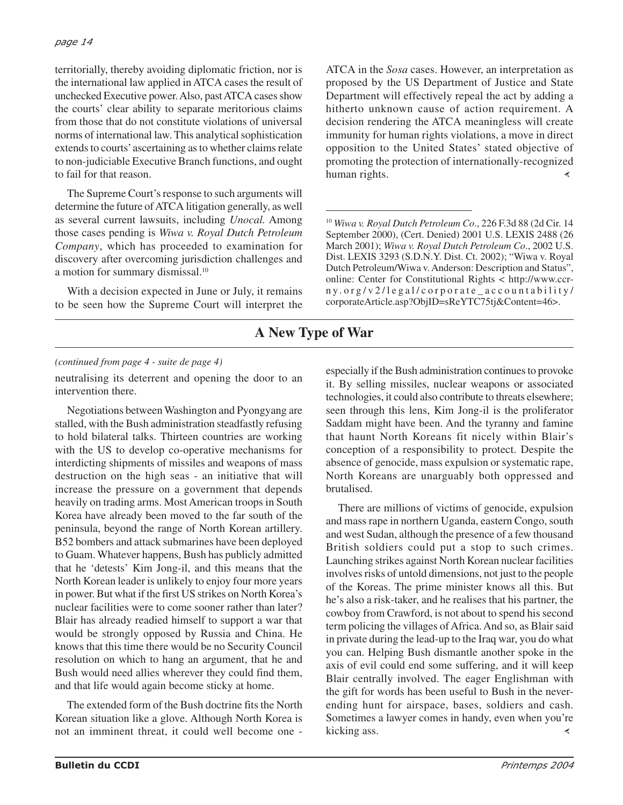territorially, thereby avoiding diplomatic friction, nor is the international law applied in ATCA cases the result of unchecked Executive power. Also, past ATCA cases show the courts' clear ability to separate meritorious claims from those that do not constitute violations of universal norms of international law. This analytical sophistication extends to courts' ascertaining as to whether claims relate to non-judiciable Executive Branch functions, and ought to fail for that reason.

The Supreme Court's response to such arguments will determine the future of ATCA litigation generally, as well as several current lawsuits, including *Unocal.* Among those cases pending is *Wiwa v. Royal Dutch Petroleum Company*, which has proceeded to examination for discovery after overcoming jurisdiction challenges and a motion for summary dismissal.<sup>10</sup>

With a decision expected in June or July, it remains to be seen how the Supreme Court will interpret the ATCA in the *Sosa* cases. However, an interpretation as proposed by the US Department of Justice and State Department will effectively repeal the act by adding a hitherto unknown cause of action requirement. A decision rendering the ATCA meaningless will create immunity for human rights violations, a move in direct opposition to the United States' stated objective of promoting the protection of internationally-recognized human rights. ≺

<sup>10</sup> *Wiwa v. Royal Dutch Petroleum Co*., 226 F.3d 88 (2d Cir. 14 September 2000), (Cert. Denied) 2001 U.S. LEXIS 2488 (26 March 2001); *Wiwa v. Royal Dutch Petroleum Co*., 2002 U.S. Dist. LEXIS 3293 (S.D.N.Y. Dist. Ct. 2002); "Wiwa v. Royal Dutch Petroleum/Wiwa v. Anderson: Description and Status", online: Center for Constitutional Rights < http://www.ccrn y .org/v2/legal/corporate\_accountability/ corporateArticle.asp?ObjID=sReYTC75tj&Content=46>.

# **A New Type of War**

#### *(continued from page 4 - suite de page 4)*

neutralising its deterrent and opening the door to an intervention there.

Negotiations between Washington and Pyongyang are stalled, with the Bush administration steadfastly refusing to hold bilateral talks. Thirteen countries are working with the US to develop co-operative mechanisms for interdicting shipments of missiles and weapons of mass destruction on the high seas - an initiative that will increase the pressure on a government that depends heavily on trading arms. Most American troops in South Korea have already been moved to the far south of the peninsula, beyond the range of North Korean artillery. B52 bombers and attack submarines have been deployed to Guam. Whatever happens, Bush has publicly admitted that he 'detests' Kim Jong-il, and this means that the North Korean leader is unlikely to enjoy four more years in power. But what if the first US strikes on North Korea's nuclear facilities were to come sooner rather than later? Blair has already readied himself to support a war that would be strongly opposed by Russia and China. He knows that this time there would be no Security Council resolution on which to hang an argument, that he and Bush would need allies wherever they could find them, and that life would again become sticky at home.

The extended form of the Bush doctrine fits the North Korean situation like a glove. Although North Korea is not an imminent threat, it could well become one -

especially if the Bush administration continues to provoke it. By selling missiles, nuclear weapons or associated technologies, it could also contribute to threats elsewhere; seen through this lens, Kim Jong-il is the proliferator Saddam might have been. And the tyranny and famine that haunt North Koreans fit nicely within Blair's conception of a responsibility to protect. Despite the absence of genocide, mass expulsion or systematic rape, North Koreans are unarguably both oppressed and brutalised.

There are millions of victims of genocide, expulsion and mass rape in northern Uganda, eastern Congo, south and west Sudan, although the presence of a few thousand British soldiers could put a stop to such crimes. Launching strikes against North Korean nuclear facilities involves risks of untold dimensions, not just to the people of the Koreas. The prime minister knows all this. But he's also a risk-taker, and he realises that his partner, the cowboy from Crawford, is not about to spend his second term policing the villages of Africa. And so, as Blair said in private during the lead-up to the Iraq war, you do what you can. Helping Bush dismantle another spoke in the axis of evil could end some suffering, and it will keep Blair centrally involved. The eager Englishman with the gift for words has been useful to Bush in the neverending hunt for airspace, bases, soldiers and cash. Sometimes a lawyer comes in handy, even when you're kicking ass. ∢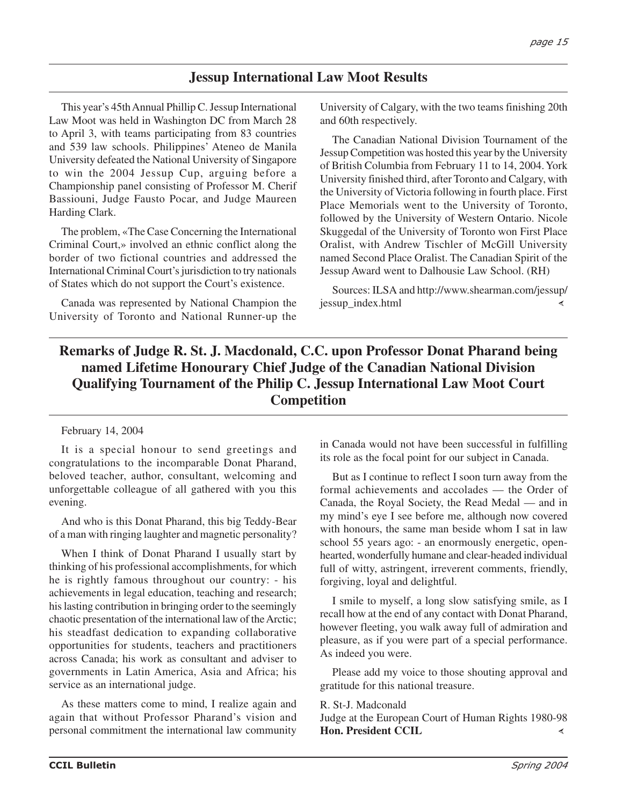## **Jessup International Law Moot Results**

This year's 45th Annual Phillip C. Jessup International Law Moot was held in Washington DC from March 28 to April 3, with teams participating from 83 countries and 539 law schools. Philippines' Ateneo de Manila University defeated the National University of Singapore to win the 2004 Jessup Cup, arguing before a Championship panel consisting of Professor M. Cherif Bassiouni, Judge Fausto Pocar, and Judge Maureen Harding Clark.

The problem, «The Case Concerning the International Criminal Court,» involved an ethnic conflict along the border of two fictional countries and addressed the International Criminal Court's jurisdiction to try nationals of States which do not support the Court's existence.

Canada was represented by National Champion the University of Toronto and National Runner-up the

University of Calgary, with the two teams finishing 20th and 60th respectively.

The Canadian National Division Tournament of the Jessup Competition was hosted this year by the University of British Columbia from February 11 to 14, 2004. York University finished third, after Toronto and Calgary, with the University of Victoria following in fourth place. First Place Memorials went to the University of Toronto, followed by the University of Western Ontario. Nicole Skuggedal of the University of Toronto won First Place Oralist, with Andrew Tischler of McGill University named Second Place Oralist. The Canadian Spirit of the Jessup Award went to Dalhousie Law School. (RH)

Sources: ILSA and http://www.shearman.com/jessup/ jessup\_index.html

# **Remarks of Judge R. St. J. Macdonald, C.C. upon Professor Donat Pharand being named Lifetime Honourary Chief Judge of the Canadian National Division Qualifying Tournament of the Philip C. Jessup International Law Moot Court Competition**

#### February 14, 2004

It is a special honour to send greetings and congratulations to the incomparable Donat Pharand, beloved teacher, author, consultant, welcoming and unforgettable colleague of all gathered with you this evening.

And who is this Donat Pharand, this big Teddy-Bear of a man with ringing laughter and magnetic personality?

When I think of Donat Pharand I usually start by thinking of his professional accomplishments, for which he is rightly famous throughout our country: - his achievements in legal education, teaching and research; his lasting contribution in bringing order to the seemingly chaotic presentation of the international law of the Arctic; his steadfast dedication to expanding collaborative opportunities for students, teachers and practitioners across Canada; his work as consultant and adviser to governments in Latin America, Asia and Africa; his service as an international judge.

As these matters come to mind, I realize again and again that without Professor Pharand's vision and personal commitment the international law community in Canada would not have been successful in fulfilling its role as the focal point for our subject in Canada.

But as I continue to reflect I soon turn away from the formal achievements and accolades — the Order of Canada, the Royal Society, the Read Medal — and in my mind's eye I see before me, although now covered with honours, the same man beside whom I sat in law school 55 years ago: - an enormously energetic, openhearted, wonderfully humane and clear-headed individual full of witty, astringent, irreverent comments, friendly, forgiving, loyal and delightful.

I smile to myself, a long slow satisfying smile, as I recall how at the end of any contact with Donat Pharand, however fleeting, you walk away full of admiration and pleasure, as if you were part of a special performance. As indeed you were.

Please add my voice to those shouting approval and gratitude for this national treasure.

#### R. St-J. Madconald

Judge at the European Court of Human Rights 1980-98 **Hon. President CCIL**∢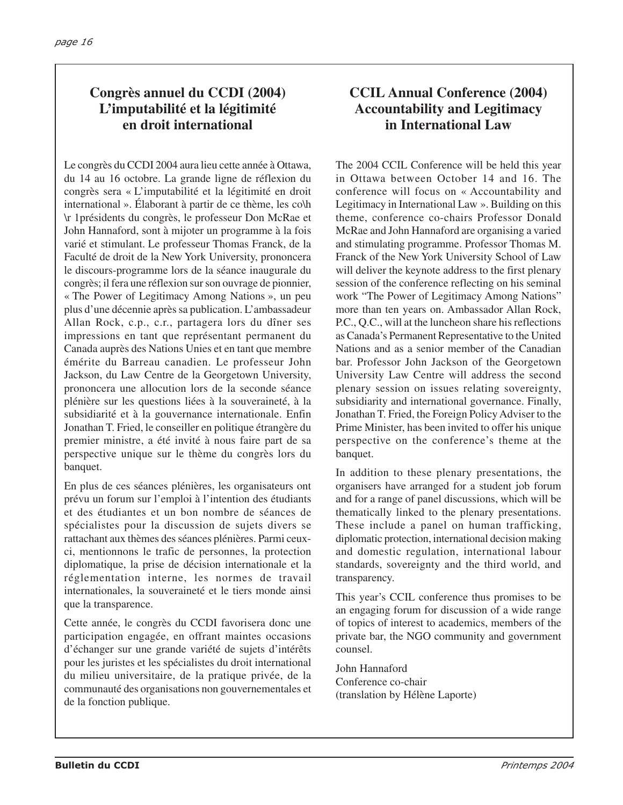# **Congrès annuel du CCDI (2004) L'imputabilité et la légitimité en droit international**

Le congrès du CCDI 2004 aura lieu cette année à Ottawa, du 14 au 16 octobre. La grande ligne de réflexion du congrès sera « L'imputabilité et la légitimité en droit international ». Élaborant à partir de ce thème, les co\h \r 1présidents du congrès, le professeur Don McRae et John Hannaford, sont à mijoter un programme à la fois varié et stimulant. Le professeur Thomas Franck, de la Faculté de droit de la New York University, prononcera le discours-programme lors de la séance inaugurale du congrès; il fera une réflexion sur son ouvrage de pionnier, « The Power of Legitimacy Among Nations », un peu plus d'une décennie après sa publication. L'ambassadeur Allan Rock, c.p., c.r., partagera lors du dîner ses impressions en tant que représentant permanent du Canada auprès des Nations Unies et en tant que membre émérite du Barreau canadien. Le professeur John Jackson, du Law Centre de la Georgetown University, prononcera une allocution lors de la seconde séance plénière sur les questions liées à la souveraineté, à la subsidiarité et à la gouvernance internationale. Enfin Jonathan T. Fried, le conseiller en politique étrangère du premier ministre, a été invité à nous faire part de sa perspective unique sur le thème du congrès lors du banquet.

En plus de ces séances plénières, les organisateurs ont prévu un forum sur l'emploi à l'intention des étudiants et des étudiantes et un bon nombre de séances de spécialistes pour la discussion de sujets divers se rattachant aux thèmes des séances plénières. Parmi ceuxci, mentionnons le trafic de personnes, la protection diplomatique, la prise de décision internationale et la réglementation interne, les normes de travail internationales, la souveraineté et le tiers monde ainsi que la transparence.

Cette année, le congrès du CCDI favorisera donc une participation engagée, en offrant maintes occasions d'échanger sur une grande variété de sujets d'intérêts pour les juristes et les spécialistes du droit international du milieu universitaire, de la pratique privée, de la communauté des organisations non gouvernementales et de la fonction publique.

# **CCIL Annual Conference (2004) Accountability and Legitimacy in International Law**

The 2004 CCIL Conference will be held this year in Ottawa between October 14 and 16. The conference will focus on « Accountability and Legitimacy in International Law ». Building on this theme, conference co-chairs Professor Donald McRae and John Hannaford are organising a varied and stimulating programme. Professor Thomas M. Franck of the New York University School of Law will deliver the keynote address to the first plenary session of the conference reflecting on his seminal work "The Power of Legitimacy Among Nations" more than ten years on. Ambassador Allan Rock, P.C., Q.C., will at the luncheon share his reflections as Canada's Permanent Representative to the United Nations and as a senior member of the Canadian bar. Professor John Jackson of the Georgetown University Law Centre will address the second plenary session on issues relating sovereignty, subsidiarity and international governance. Finally, Jonathan T. Fried, the Foreign Policy Adviser to the Prime Minister, has been invited to offer his unique perspective on the conference's theme at the banquet.

In addition to these plenary presentations, the organisers have arranged for a student job forum and for a range of panel discussions, which will be thematically linked to the plenary presentations. These include a panel on human trafficking, diplomatic protection, international decision making and domestic regulation, international labour standards, sovereignty and the third world, and transparency.

This year's CCIL conference thus promises to be an engaging forum for discussion of a wide range of topics of interest to academics, members of the private bar, the NGO community and government counsel.

John Hannaford Conference co-chair (translation by Hélène Laporte)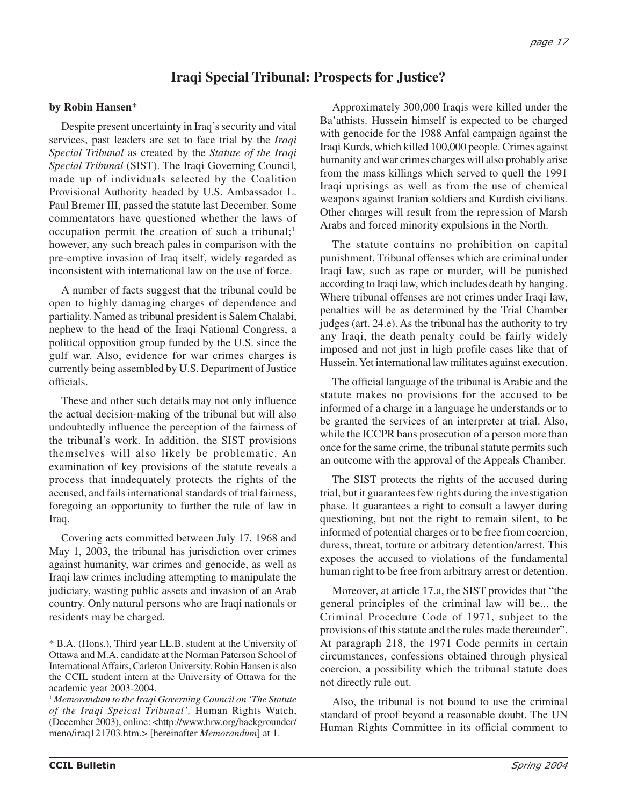## **Iraqi Special Tribunal: Prospects for Justice?**

#### **by Robin Hansen**\*

Despite present uncertainty in Iraq's security and vital services, past leaders are set to face trial by the *Iraqi Special Tribunal* as created by the *Statute of the Iraqi Special Tribunal* (SIST). The Iraqi Governing Council, made up of individuals selected by the Coalition Provisional Authority headed by U.S. Ambassador L. Paul Bremer III, passed the statute last December. Some commentators have questioned whether the laws of occupation permit the creation of such a tribunal;<sup>1</sup> however, any such breach pales in comparison with the pre-emptive invasion of Iraq itself, widely regarded as inconsistent with international law on the use of force.

A number of facts suggest that the tribunal could be open to highly damaging charges of dependence and partiality. Named as tribunal president is Salem Chalabi, nephew to the head of the Iraqi National Congress, a political opposition group funded by the U.S. since the gulf war. Also, evidence for war crimes charges is currently being assembled by U.S. Department of Justice officials.

These and other such details may not only influence the actual decision-making of the tribunal but will also undoubtedly influence the perception of the fairness of the tribunal's work. In addition, the SIST provisions themselves will also likely be problematic. An examination of key provisions of the statute reveals a process that inadequately protects the rights of the accused, and fails international standards of trial fairness, foregoing an opportunity to further the rule of law in Iraq.

Covering acts committed between July 17, 1968 and May 1, 2003, the tribunal has jurisdiction over crimes against humanity, war crimes and genocide, as well as Iraqi law crimes including attempting to manipulate the judiciary, wasting public assets and invasion of an Arab country. Only natural persons who are Iraqi nationals or residents may be charged.

Approximately 300,000 Iraqis were killed under the Ba'athists. Hussein himself is expected to be charged with genocide for the 1988 Anfal campaign against the Iraqi Kurds, which killed 100,000 people. Crimes against humanity and war crimes charges will also probably arise from the mass killings which served to quell the 1991 Iraqi uprisings as well as from the use of chemical weapons against Iranian soldiers and Kurdish civilians. Other charges will result from the repression of Marsh Arabs and forced minority expulsions in the North.

The statute contains no prohibition on capital punishment. Tribunal offenses which are criminal under Iraqi law, such as rape or murder, will be punished according to Iraqi law, which includes death by hanging. Where tribunal offenses are not crimes under Iraqi law, penalties will be as determined by the Trial Chamber judges (art. 24.e). As the tribunal has the authority to try any Iraqi, the death penalty could be fairly widely imposed and not just in high profile cases like that of Hussein. Yet international law militates against execution.

The official language of the tribunal is Arabic and the statute makes no provisions for the accused to be informed of a charge in a language he understands or to be granted the services of an interpreter at trial. Also, while the ICCPR bans prosecution of a person more than once for the same crime, the tribunal statute permits such an outcome with the approval of the Appeals Chamber.

The SIST protects the rights of the accused during trial, but it guarantees few rights during the investigation phase*.* It guarantees a right to consult a lawyer during questioning, but not the right to remain silent, to be informed of potential charges or to be free from coercion, duress, threat, torture or arbitrary detention/arrest. This exposes the accused to violations of the fundamental human right to be free from arbitrary arrest or detention.

Moreover, at article 17.a, the SIST provides that "the general principles of the criminal law will be... the Criminal Procedure Code of 1971, subject to the provisions of this statute and the rules made thereunder". At paragraph 218, the 1971 Code permits in certain circumstances, confessions obtained through physical coercion, a possibility which the tribunal statute does not directly rule out.

Also, the tribunal is not bound to use the criminal standard of proof beyond a reasonable doubt. The UN Human Rights Committee in its official comment to

<sup>\*</sup> B.A. (Hons.), Third year LL.B. student at the University of Ottawa and M.A. candidate at the Norman Paterson School of International Affairs, Carleton University. Robin Hansen is also the CCIL student intern at the University of Ottawa for the academic year 2003-2004.

<sup>1</sup> *Memorandum to the Iraqi Governing Council on 'The Statute of the Iraqi Speical Tribunal',* Human Rights Watch, (December 2003), online: <http://www.hrw.org/backgrounder/ meno/iraq121703.htm.> [hereinafter *Memorandum*] at 1.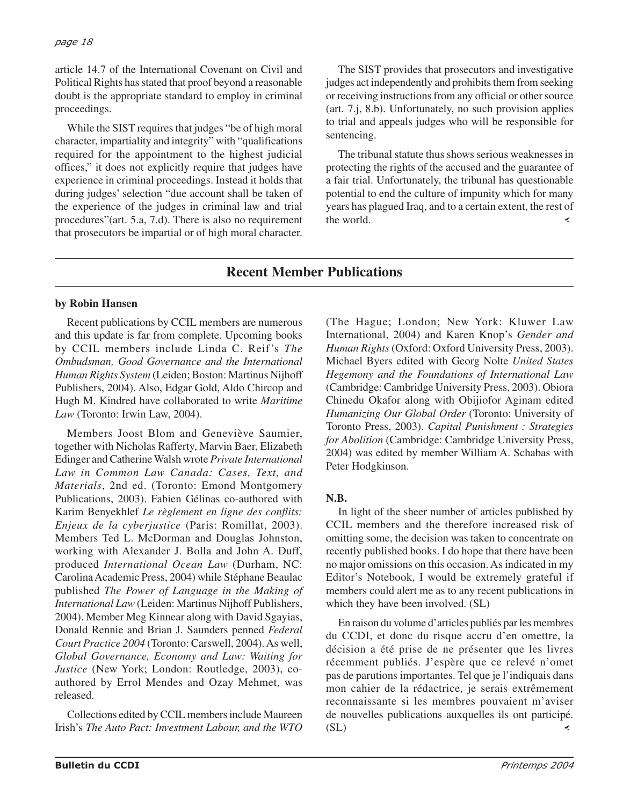article 14.7 of the International Covenant on Civil and Political Rights has stated that proof beyond a reasonable doubt is the appropriate standard to employ in criminal proceedings.

While the SIST requires that judges "be of high moral character, impartiality and integrity" with "qualifications required for the appointment to the highest judicial offices," it does not explicitly require that judges have experience in criminal proceedings. Instead it holds that during judges' selection "due account shall be taken of the experience of the judges in criminal law and trial procedures"(art. 5.a, 7.d). There is also no requirement that prosecutors be impartial or of high moral character.

The SIST provides that prosecutors and investigative judges act independently and prohibits them from seeking or receiving instructions from any official or other source (art. 7.j, 8.b). Unfortunately, no such provision applies to trial and appeals judges who will be responsible for sentencing.

The tribunal statute thus shows serious weaknesses in protecting the rights of the accused and the guarantee of a fair trial. Unfortunately, the tribunal has questionable potential to end the culture of impunity which for many years has plagued Iraq, and to a certain extent, the rest of the world.

# **Recent Member Publications**

#### **by Robin Hansen**

Recent publications by CCIL members are numerous and this update is far from complete. Upcoming books by CCIL members include Linda C. Reif's *The Ombudsman, Good Governance and the International Human Rights System* (Leiden; Boston: Martinus Nijhoff Publishers, 2004). Also, Edgar Gold, Aldo Chircop and Hugh M. Kindred have collaborated to write *Maritime Law* (Toronto: Irwin Law, 2004).

Members Joost Blom and Geneviève Saumier, together with Nicholas Rafferty, Marvin Baer, Elizabeth Edinger and Catherine Walsh wrote *Private International Law in Common Law Canada: Cases, Text, and Materials*, 2nd ed. (Toronto: Emond Montgomery Publications, 2003). Fabien Gélinas co-authored with Karim Benyekhlef *Le règlement en ligne des conflits: Enjeux de la cyberjustice* (Paris: Romillat, 2003). Members Ted L. McDorman and Douglas Johnston, working with Alexander J. Bolla and John A. Duff, produced *International Ocean Law* (Durham, NC: Carolina Academic Press, 2004) while Stéphane Beaulac published *The Power of Language in the Making of International Law* (Leiden: Martinus Nijhoff Publishers, 2004). Member Meg Kinnear along with David Sgayias, Donald Rennie and Brian J. Saunders penned *Federal Court Practice 2004* (Toronto: Carswell, 2004). As well, *Global Governance, Economy and Law: Waiting for Justice* (New York; London: Routledge, 2003), coauthored by Errol Mendes and Ozay Mehmet, was released.

Collections edited by CCIL members include Maureen Irish's *The Auto Pact: Investment Labour, and the WTO*

(The Hague; London; New York: Kluwer Law International, 2004) and Karen Knop's *Gender and Human Rights* (Oxford: Oxford University Press, 2003). Michael Byers edited with Georg Nolte *United States Hegemony and the Foundations of International Law* (Cambridge: Cambridge University Press, 2003). Obiora Chinedu Okafor along with Obijiofor Aginam edited *Humanizing Our Global Order* (Toronto: University of Toronto Press, 2003). *Capital Punishment : Strategies for Abolition* (Cambridge: Cambridge University Press, 2004) was edited by member William A. Schabas with Peter Hodgkinson.

## **N.B.**

In light of the sheer number of articles published by CCIL members and the therefore increased risk of omitting some, the decision was taken to concentrate on recently published books. I do hope that there have been no major omissions on this occasion. As indicated in my Editor's Notebook, I would be extremely grateful if members could alert me as to any recent publications in which they have been involved. (SL)

En raison du volume d'articles publiés par les membres du CCDI, et donc du risque accru d'en omettre, la décision a été prise de ne présenter que les livres récemment publiés. J'espère que ce relevé n'omet pas de parutions importantes. Tel que je l'indiquais dans mon cahier de la rédactrice, je serais extrêmement reconnaissante si les membres pouvaient m'aviser de nouvelles publications auxquelles ils ont participé.  $(SL)$ ∢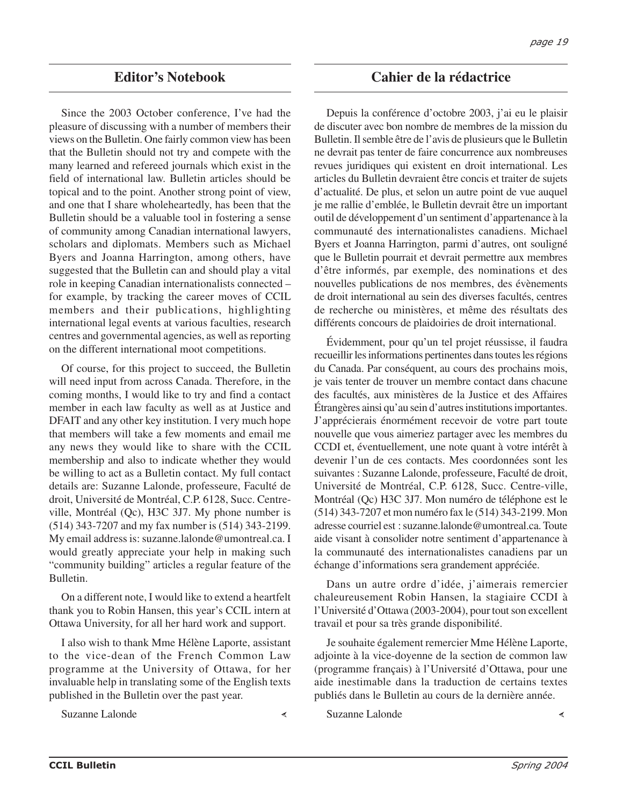## **Editor's Notebook**

Since the 2003 October conference, I've had the pleasure of discussing with a number of members their views on the Bulletin. One fairly common view has been that the Bulletin should not try and compete with the many learned and refereed journals which exist in the field of international law. Bulletin articles should be topical and to the point. Another strong point of view, and one that I share wholeheartedly, has been that the Bulletin should be a valuable tool in fostering a sense of community among Canadian international lawyers, scholars and diplomats. Members such as Michael Byers and Joanna Harrington, among others, have suggested that the Bulletin can and should play a vital role in keeping Canadian internationalists connected – for example, by tracking the career moves of CCIL members and their publications, highlighting international legal events at various faculties, research centres and governmental agencies, as well as reporting on the different international moot competitions.

Of course, for this project to succeed, the Bulletin will need input from across Canada. Therefore, in the coming months, I would like to try and find a contact member in each law faculty as well as at Justice and DFAIT and any other key institution. I very much hope that members will take a few moments and email me any news they would like to share with the CCIL membership and also to indicate whether they would be willing to act as a Bulletin contact. My full contact details are: Suzanne Lalonde, professeure, Faculté de droit, Université de Montréal, C.P. 6128, Succ. Centreville, Montréal (Qc), H3C 3J7. My phone number is (514) 343-7207 and my fax number is (514) 343-2199. My email address is: suzanne.lalonde@umontreal.ca. I would greatly appreciate your help in making such "community building" articles a regular feature of the Bulletin.

On a different note, I would like to extend a heartfelt thank you to Robin Hansen, this year's CCIL intern at Ottawa University, for all her hard work and support.

I also wish to thank Mme Hélène Laporte, assistant to the vice-dean of the French Common Law programme at the University of Ottawa, for her invaluable help in translating some of the English texts published in the Bulletin over the past year.

Suzanne Lalonde

∢

**Cahier de la rédactrice**

Depuis la conférence d'octobre 2003, j'ai eu le plaisir de discuter avec bon nombre de membres de la mission du Bulletin. Il semble être de l'avis de plusieurs que le Bulletin ne devrait pas tenter de faire concurrence aux nombreuses revues juridiques qui existent en droit international. Les articles du Bulletin devraient être concis et traiter de sujets d'actualité. De plus, et selon un autre point de vue auquel je me rallie d'emblée, le Bulletin devrait être un important outil de développement d'un sentiment d'appartenance à la communauté des internationalistes canadiens. Michael Byers et Joanna Harrington, parmi d'autres, ont souligné que le Bulletin pourrait et devrait permettre aux membres d'être informés, par exemple, des nominations et des nouvelles publications de nos membres, des évènements de droit international au sein des diverses facultés, centres de recherche ou ministères, et même des résultats des différents concours de plaidoiries de droit international.

Évidemment, pour qu'un tel projet réussisse, il faudra recueillir les informations pertinentes dans toutes les régions du Canada. Par conséquent, au cours des prochains mois, je vais tenter de trouver un membre contact dans chacune des facultés, aux ministères de la Justice et des Affaires Étrangères ainsi qu'au sein d'autres institutions importantes. J'apprécierais énormément recevoir de votre part toute nouvelle que vous aimeriez partager avec les membres du CCDI et, éventuellement, une note quant à votre intérêt à devenir l'un de ces contacts. Mes coordonnées sont les suivantes : Suzanne Lalonde, professeure, Faculté de droit, Université de Montréal, C.P. 6128, Succ. Centre-ville, Montréal (Qc) H3C 3J7. Mon numéro de téléphone est le (514) 343-7207 et mon numéro fax le (514) 343-2199. Mon adresse courriel est : suzanne.lalonde@umontreal.ca. Toute aide visant à consolider notre sentiment d'appartenance à la communauté des internationalistes canadiens par un échange d'informations sera grandement appréciée.

Dans un autre ordre d'idée, j'aimerais remercier chaleureusement Robin Hansen, la stagiaire CCDI à l'Université d'Ottawa (2003-2004), pour tout son excellent travail et pour sa très grande disponibilité.

Je souhaite également remercier Mme Hélène Laporte, adjointe à la vice-doyenne de la section de common law (programme français) à l'Université d'Ottawa, pour une aide inestimable dans la traduction de certains textes publiés dans le Bulletin au cours de la dernière année.

Suzanne Lalonde

 $\prec$